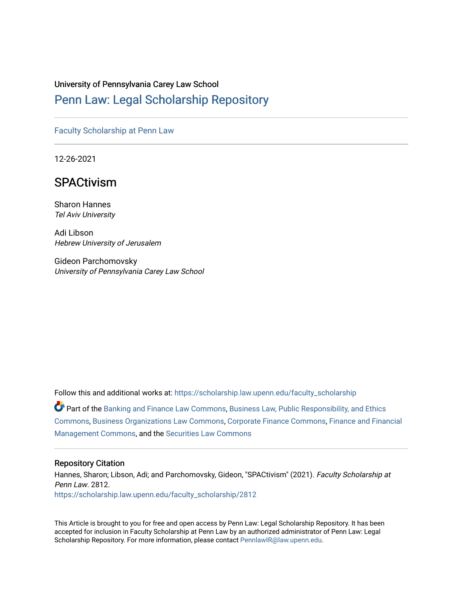# University of Pennsylvania Carey Law School

# [Penn Law: Legal Scholarship Repository](https://scholarship.law.upenn.edu/)

## [Faculty Scholarship at Penn Law](https://scholarship.law.upenn.edu/faculty_scholarship)

12-26-2021

# **SPACtivism**

Sharon Hannes Tel Aviv University

Adi Libson Hebrew University of Jerusalem

Gideon Parchomovsky University of Pennsylvania Carey Law School

Follow this and additional works at: [https://scholarship.law.upenn.edu/faculty\\_scholarship](https://scholarship.law.upenn.edu/faculty_scholarship?utm_source=scholarship.law.upenn.edu%2Ffaculty_scholarship%2F2812&utm_medium=PDF&utm_campaign=PDFCoverPages)  Part of the [Banking and Finance Law Commons,](http://network.bepress.com/hgg/discipline/833?utm_source=scholarship.law.upenn.edu%2Ffaculty_scholarship%2F2812&utm_medium=PDF&utm_campaign=PDFCoverPages) [Business Law, Public Responsibility, and Ethics](http://network.bepress.com/hgg/discipline/628?utm_source=scholarship.law.upenn.edu%2Ffaculty_scholarship%2F2812&utm_medium=PDF&utm_campaign=PDFCoverPages)  [Commons](http://network.bepress.com/hgg/discipline/628?utm_source=scholarship.law.upenn.edu%2Ffaculty_scholarship%2F2812&utm_medium=PDF&utm_campaign=PDFCoverPages), [Business Organizations Law Commons,](http://network.bepress.com/hgg/discipline/900?utm_source=scholarship.law.upenn.edu%2Ffaculty_scholarship%2F2812&utm_medium=PDF&utm_campaign=PDFCoverPages) [Corporate Finance Commons](http://network.bepress.com/hgg/discipline/629?utm_source=scholarship.law.upenn.edu%2Ffaculty_scholarship%2F2812&utm_medium=PDF&utm_campaign=PDFCoverPages), [Finance and Financial](http://network.bepress.com/hgg/discipline/631?utm_source=scholarship.law.upenn.edu%2Ffaculty_scholarship%2F2812&utm_medium=PDF&utm_campaign=PDFCoverPages)  [Management Commons](http://network.bepress.com/hgg/discipline/631?utm_source=scholarship.law.upenn.edu%2Ffaculty_scholarship%2F2812&utm_medium=PDF&utm_campaign=PDFCoverPages), and the [Securities Law Commons](http://network.bepress.com/hgg/discipline/619?utm_source=scholarship.law.upenn.edu%2Ffaculty_scholarship%2F2812&utm_medium=PDF&utm_campaign=PDFCoverPages) 

#### Repository Citation

Hannes, Sharon; Libson, Adi; and Parchomovsky, Gideon, "SPACtivism" (2021). Faculty Scholarship at Penn Law. 2812. [https://scholarship.law.upenn.edu/faculty\\_scholarship/2812](https://scholarship.law.upenn.edu/faculty_scholarship/2812?utm_source=scholarship.law.upenn.edu%2Ffaculty_scholarship%2F2812&utm_medium=PDF&utm_campaign=PDFCoverPages)

This Article is brought to you for free and open access by Penn Law: Legal Scholarship Repository. It has been accepted for inclusion in Faculty Scholarship at Penn Law by an authorized administrator of Penn Law: Legal Scholarship Repository. For more information, please contact [PennlawIR@law.upenn.edu.](mailto:PennlawIR@law.upenn.edu)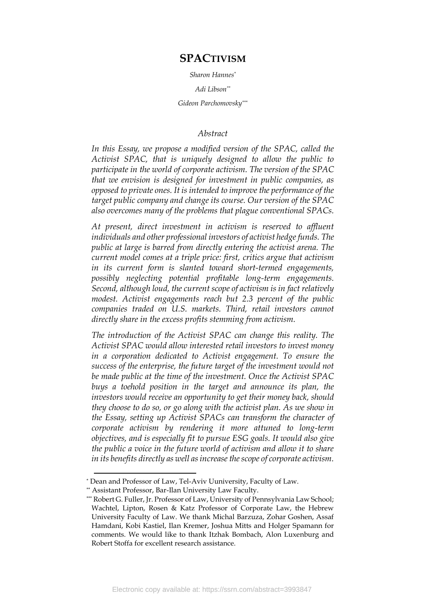# **SPACTIVISM**

*Sharon Hannes\**

*Adi Libson\*\**

*Gideon Parchomovsky\*\*\**

# *Abstract*

In this Essay, we propose a modified version of the SPAC, called the *Activist SPAC, that is uniquely designed to allow the public to participate in the world of corporate activism. The version of the SPAC that we envision is designed for investment in public companies, as opposed to private ones. It is intended to improve the performance of the target public company and change its course. Our version of the SPAC also overcomes many of the problems that plague conventional SPACs.* 

*At present, direct investment in activism is reserved to affluent individuals and other professional investors of activist hedge funds. The public at large is barred from directly entering the activist arena. The current model comes at a triple price: first, critics argue that activism in its current form is slanted toward short-termed engagements, possibly neglecting potential profitable long-term engagements. Second, although loud, the current scope of activism is in fact relatively modest. Activist engagements reach but 2.3 percent of the public companies traded on U.S. markets. Third, retail investors cannot directly share in the excess profits stemming from activism.* 

*The introduction of the Activist SPAC can change this reality. The Activist SPAC would allow interested retail investors to invest money in a corporation dedicated to Activist engagement. To ensure the success of the enterprise, the future target of the investment would not be made public at the time of the investment. Once the Activist SPAC buys a toehold position in the target and announce its plan, the investors would receive an opportunity to get their money back, should they choose to do so, or go along with the activist plan. As we show in the Essay, setting up Activist SPACs can transform the character of corporate activism by rendering it more attuned to long-term objectives, and is especially fit to pursue ESG goals. It would also give the public a voice in the future world of activism and allow it to share in its benefits directly as well asincrease the scope of corporate activism.* 

<sup>\*</sup> Dean and Professor of Law, Tel-Aviv Uuniversity, Faculty of Law.

<sup>\*\*</sup> Assistant Professor, Bar-Ilan University Law Faculty.

<sup>\*\*\*</sup> Robert G. Fuller, Jr. Professor of Law, University of Pennsylvania Law School; Wachtel, Lipton, Rosen & Katz Professor of Corporate Law, the Hebrew University Faculty of Law. We thank Michal Barzuza, Zohar Goshen, Assaf Hamdani, Kobi Kastiel, Ilan Kremer, Joshua Mitts and Holger Spamann for comments. We would like to thank Itzhak Bombach, Alon Luxenburg and Robert Stoffa for excellent research assistance.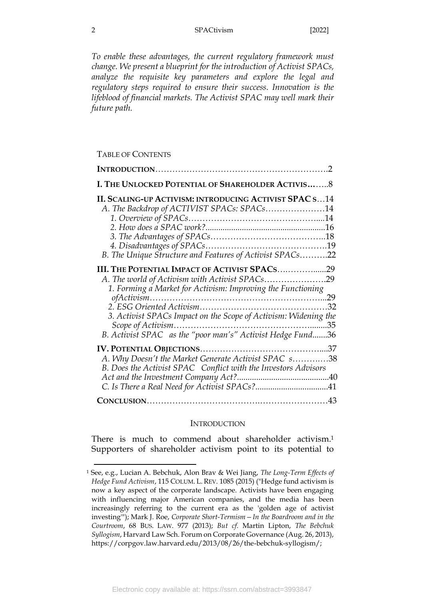*To enable these advantages, the current regulatory framework must change. We present a blueprint for the introduction of Activist SPACs, analyze the requisite key parameters and explore the legal and regulatory steps required to ensure their success. Innovation is the lifeblood of financial markets. The Activist SPAC may well mark their future path.*

## TABLE OF CONTENTS

| I. THE UNLOCKED POTENTIAL OF SHAREHOLDER ACTIVIS8                                                                                                              |  |
|----------------------------------------------------------------------------------------------------------------------------------------------------------------|--|
| II. SCALING-UP ACTIVISM: INTRODUCING ACTIVIST SPAC S14<br>A. The Backdrop of ACTIVIST SPACs: SPACs14                                                           |  |
| B. The Unique Structure and Features of Activist SPACs22                                                                                                       |  |
| III. THE POTENTIAL IMPACT OF ACTIVIST SPACS29<br>A. The world of Activism with Activist SPACs29<br>1. Forming a Market for Activism: Improving the Functioning |  |
| 3. Activist SPACs Impact on the Scope of Activism: Widening the<br>B. Activist SPAC as the "poor man's" Activist Hedge Fund36                                  |  |
| A. Why Doesn't the Market Generate Activist SPAC s38<br>B. Does the Activist SPAC Conflict with the Investors Advisors                                         |  |
|                                                                                                                                                                |  |

## <span id="page-2-1"></span><span id="page-2-0"></span>**INTRODUCTION**

There is much to commend about shareholder activism. 1 Supporters of shareholder activism point to its potential to

<sup>1</sup> See, e.g., Lucian A. Bebchuk, Alon Brav & Wei Jiang, *The Long-Term Effects of Hedge Fund Activism*, 115 COLUM. L. REV. 1085 (2015) ("Hedge fund activism is now a key aspect of the corporate landscape. Activists have been engaging with influencing major American companies, and the media has been increasingly referring to the current era as the 'golden age of activist investing'"); Mark J. Roe, *Corporate Short-Termism—In the Boardroom and in the Courtroom*, 68 BUS. LAW. 977 (2013); *But cf*. Martin Lipton, *The Bebchuk Syllogism*, Harvard Law Sch. Forum on Corporate Governance (Aug. 26, 2013), https://corpgov.law.harvard.edu/2013/08/26/the-bebchuk-syllogism/;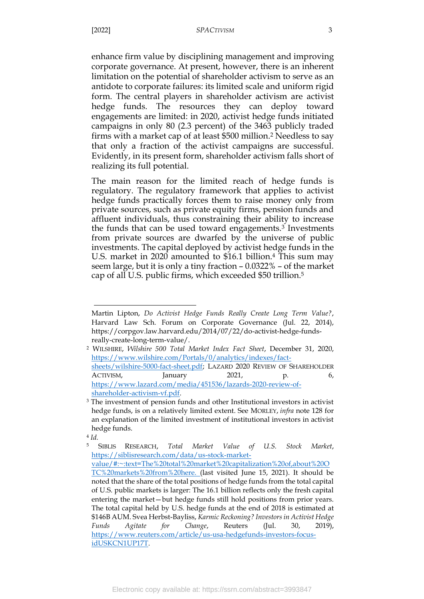enhance firm value by disciplining management and improving corporate governance. At present, however, there is an inherent limitation on the potential of shareholder activism to serve as an antidote to corporate failures: its limited scale and uniform rigid form. The central players in shareholder activism are activist hedge funds. The resources they can deploy toward engagements are limited: in 2020, activist hedge funds initiated campaigns in only 80 (2.3 percent) of the 3463 publicly traded firms with a market cap of at least \$500 million. <sup>2</sup> Needless to say that only a fraction of the activist campaigns are successful. Evidently, in its present form, shareholder activism falls short of realizing its full potential.

<span id="page-3-1"></span>The main reason for the limited reach of hedge funds is regulatory. The regulatory framework that applies to activist hedge funds practically forces them to raise money only from private sources, such as private equity firms, pension funds and affluent individuals, thus constraining their ability to increase the funds that can be used toward engagements.<sup>3</sup> Investments from private sources are dwarfed by the universe of public investments. The capital deployed by activist hedge funds in the U.S. market in 2020 amounted to \$16.1 billion.<sup>4</sup> This sum may seem large, but it is only a tiny fraction – 0.0322% – of the market cap of all U.S. public firms, which exceeded \$50 trillion.<sup>5</sup>

<span id="page-3-0"></span>Martin Lipton, *Do Activist Hedge Funds Really Create Long Term Value?*, Harvard Law Sch. Forum on Corporate Governance (Jul. 22, 2014), https://corpgov.law.harvard.edu/2014/07/22/do-activist-hedge-fundsreally-create-long-term-value/.

<sup>2</sup> WILSHIRE, *Wilshire 500 Total Market Index Fact Sheet*, December 31, 2020, [https://www.wilshire.com/Portals/0/analytics/indexes/fact](https://www.wilshire.com/Portals/0/analytics/indexes/fact-sheets/wilshire-5000-fact-sheet.pdf)[sheets/wilshire-5000-fact-sheet.pdf;](https://www.wilshire.com/Portals/0/analytics/indexes/fact-sheets/wilshire-5000-fact-sheet.pdf) LAZARD 2020 REVIEW OF SHAREHOLDER ACTIVISM, January 2021, p. 6, [https://www.lazard.com/media/451536/lazards-2020-review-of](https://www.lazard.com/media/451536/lazards-2020-review-of-shareholder-activism-vf.pdf)[shareholder-activism-vf.pdf.](https://www.lazard.com/media/451536/lazards-2020-review-of-shareholder-activism-vf.pdf) 

<sup>3</sup> The investment of pension funds and other Institutional investors in activist hedge funds, is on a relatively limited extent. See MORLEY, *infra* note [128](#page-39-0) for an explanation of the limited investment of institutional investors in activist hedge funds.

<sup>4</sup> *Id.*

<sup>5</sup> SIBLIS RESEARCH, *Total Market Value of U.S. Stock Market*, [https://siblisresearch.com/data/us-stock-market](https://siblisresearch.com/data/us-stock-market-value/#:~:text=The%20total%20market%20capitalization%20of,about%20OTC%20markets%20from%20here. (last)[value/#:~:text=The%20total%20market%20capitalization%20of,about%20O](https://siblisresearch.com/data/us-stock-market-value/#:~:text=The%20total%20market%20capitalization%20of,about%20OTC%20markets%20from%20here. (last) [TC%20markets%20from%20here. \(last](https://siblisresearch.com/data/us-stock-market-value/#:~:text=The%20total%20market%20capitalization%20of,about%20OTC%20markets%20from%20here. (last) visited June 15, 2021). It should be noted that the share of the total positions of hedge funds from the total capital of U.S. public markets is larger: The 16.1 billion reflects only the fresh capital entering the market—but hedge funds still hold positions from prior years. The total capital held by U.S. hedge funds at the end of 2018 is estimated at \$146B AUM. Svea Herbst-Bayliss, *Karmic Reckoning? Investors in Activist Hedge Funds Agitate for Change*, Reuters (Jul. 30, 2019), [https://www.reuters.com/article/us-usa-hedgefunds-investors-focus](https://www.reuters.com/article/us-usa-hedgefunds-investors-focus-idUSKCN1UP17T)[idUSKCN1UP17T.](https://www.reuters.com/article/us-usa-hedgefunds-investors-focus-idUSKCN1UP17T)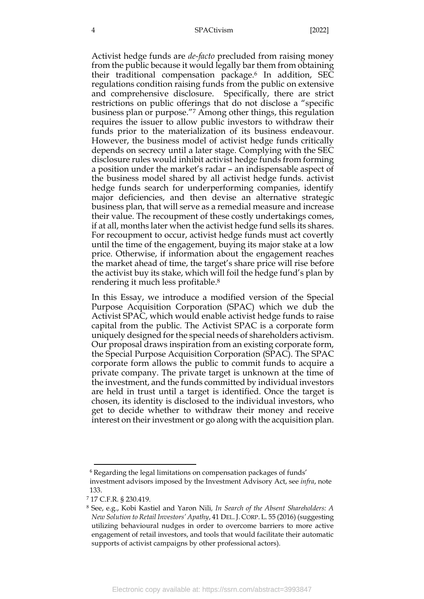#### 4 SPACtivism [2022]

Activist hedge funds are *de-facto* precluded from raising money from the public because it would legally bar them from obtaining their traditional compensation package.<sup>6</sup> In addition, SEC regulations condition raising funds from the public on extensive and comprehensive disclosure. Specifically, there are strict restrictions on public offerings that do not disclose a "specific business [plan](https://www.law.cornell.edu/definitions/index.php?width=840&height=800&iframe=true&def_id=9d243016b094305eb1f0d06587e0caf6&term_occur=999&term_src=Title:17:Chapter:II:Part:230:Subjgrp:40:230.419) or purpose."<sup>7</sup> Among other things, this regulation requires the issuer to allow public investors to withdraw their funds prior to the materialization of its business endeavour. However, the business model of activist hedge funds critically depends on secrecy until a later stage. Complying with the SEC disclosure rules would inhibit activist hedge funds from forming a position under the market's radar – an indispensable aspect of the business model shared by all activist hedge funds. activist hedge funds search for underperforming companies, identify major deficiencies, and then devise an alternative strategic business plan, that will serve as a remedial measure and increase their value. The recoupment of these costly undertakings comes, if at all, months later when the activist hedge fund sells its shares. For recoupment to occur, activist hedge funds must act covertly until the time of the engagement, buying its major stake at a low price. Otherwise, if information about the engagement reaches the market ahead of time, the target's share price will rise before the activist buy its stake, which will foil the hedge fund's plan by rendering it much less profitable. 8

In this Essay, we introduce a modified version of the Special Purpose Acquisition Corporation (SPAC) which we dub the Activist SPAC, which would enable activist hedge funds to raise capital from the public. The Activist SPAC is a corporate form uniquely designed for the special needs of shareholders activism. Our proposal draws inspiration from an existing corporate form, the Special Purpose Acquisition Corporation (SPAC). The SPAC corporate form allows the public to commit funds to acquire a private company. The private target is unknown at the time of the investment, and the funds committed by individual investors are held in trust until a target is identified. Once the target is chosen, its identity is disclosed to the individual investors, who get to decide whether to withdraw their money and receive interest on their investment or go along with the acquisition plan.

<sup>6</sup> Regarding the legal limitations on compensation packages of funds' investment advisors imposed by the Investment Advisory Act, see *infra*, note [133.](#page-40-1)

<sup>7</sup> 17 C.F.R. § 230.419.

<sup>8</sup> See, e.g., Kobi Kastiel and Yaron Nili*, In Search of the Absent Shareholders: A New Solution to Retail Investors' Apathy*, 41 DEL.J. CORP. L. 55 (2016) (suggesting utilizing behavioural nudges in order to overcome barriers to more active engagement of retail investors, and tools that would facilitate their automatic supports of activist campaigns by other professional actors).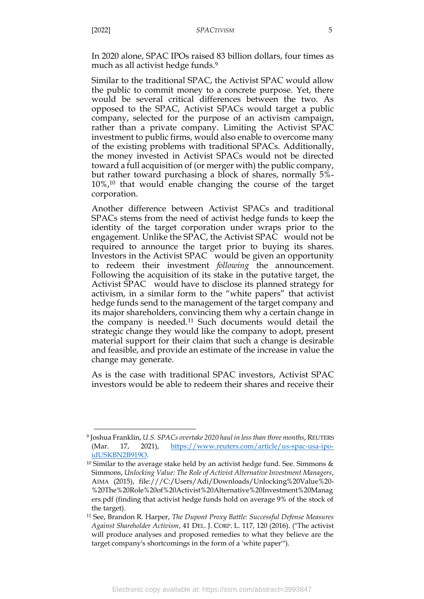In 2020 alone, SPAC IPOs raised 83 billion dollars, four times as much as all activist hedge funds. 9

Similar to the traditional SPAC, the Activist SPAC would allow the public to commit money to a concrete purpose. Yet, there would be several critical differences between the two. As opposed to the SPAC, Activist SPACs would target a public company, selected for the purpose of an activism campaign, rather than a private company. Limiting the Activist SPAC investment to public firms, would also enable to overcome many of the existing problems with traditional SPACs. Additionally, the money invested in Activist SPACs would not be directed toward a full acquisition of (or merger with) the public company, but rather toward purchasing a block of shares, normally 5%- 10%, <sup>10</sup> that would enable changing the course of the target corporation.

Another difference between Activist SPACs and traditional SPACs stems from the need of activist hedge funds to keep the identity of the target corporation under wraps prior to the engagement. Unlike the SPAC, the Activist SPAC would not be required to announce the target prior to buying its shares. Investors in the Activist SPAC would be given an opportunity to redeem their investment *following* the announcement. Following the acquisition of its stake in the putative target, the Activist SPAC would have to disclose its planned strategy for activism, in a similar form to the "white papers" that activist hedge funds send to the management of the target company and its major shareholders, convincing them why a certain change in the company is needed.<sup>11</sup> Such documents would detail the strategic change they would like the company to adopt, present material support for their claim that such a change is desirable and feasible, and provide an estimate of the increase in value the change may generate.

As is the case with traditional SPAC investors, Activist SPAC investors would be able to redeem their shares and receive their

<sup>9</sup> Joshua Franklin, *U.S. SPACs overtake 2020 haul in less than three months*, REUTERS (Mar. 17, 2021), [https://www.reuters.com/article/us-spac-usa-ipo](https://www.reuters.com/article/us-spac-usa-ipo-idUSKBN2B919O)[idUSKBN2B919O.](https://www.reuters.com/article/us-spac-usa-ipo-idUSKBN2B919O)

<sup>&</sup>lt;sup>10</sup> Similar to the average stake held by an activist hedge fund. See. Simmons  $\&$ Simmons, *Unlocking Value: The Role of Activist Alternative Investment Managers*, AIMA (2015), file:///C:/Users/Adi/Downloads/Unlocking%20Value%20- %20The%20Role%20of%20Activist%20Alternative%20Investment%20Manag ers.pdf (finding that activist hedge funds hold on average 9% of the stock of the target).

<sup>11</sup> See, Brandon R. Harper, *The Dupont Proxy Battle: Successful Defense Measures Against Shareholder Activism*, 41 DEL. J. CORP. L. 117, 120 (2016). ("The activist will produce analyses and proposed remedies to what they believe are the target company's shortcomings in the form of a 'white paper'").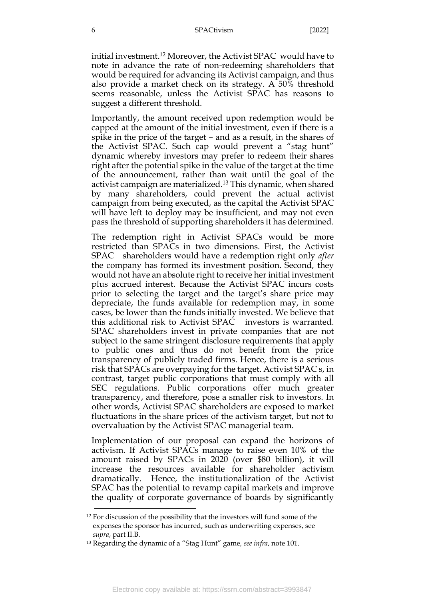initial investment. <sup>12</sup> Moreover, the Activist SPAC would have to note in advance the rate of non-redeeming shareholders that would be required for advancing its Activist campaign, and thus also provide a market check on its strategy. A 50% threshold seems reasonable, unless the Activist SPAC has reasons to suggest a different threshold.

Importantly, the amount received upon redemption would be capped at the amount of the initial investment, even if there is a spike in the price of the target – and as a result, in the shares of the Activist SPAC. Such cap would prevent a "stag hunt" dynamic whereby investors may prefer to redeem their shares right after the potential spike in the value of the target at the time of the announcement, rather than wait until the goal of the activist campaign are materialized.<sup>13</sup> This dynamic, when shared by many shareholders, could prevent the actual activist campaign from being executed, as the capital the Activist SPAC will have left to deploy may be insufficient, and may not even pass the threshold of supporting shareholders it has determined.

The redemption right in Activist SPACs would be more restricted than SPACs in two dimensions. First, the Activist SPAC shareholders would have a redemption right only *after* the company has formed its investment position. Second, they would not have an absolute right to receive her initial investment plus accrued interest. Because the Activist SPAC incurs costs prior to selecting the target and the target's share price may depreciate, the funds available for redemption may, in some cases, be lower than the funds initially invested. We believe that this additional risk to Activist SPAC investors is warranted. SPAC shareholders invest in private companies that are not subject to the same stringent disclosure requirements that apply to public ones and thus do not benefit from the price transparency of publicly traded firms. Hence, there is a serious risk that SPACs are overpaying for the target. Activist SPAC s, in contrast, target public corporations that must comply with all SEC regulations. Public corporations offer much greater transparency, and therefore, pose a smaller risk to investors. In other words, Activist SPAC shareholders are exposed to market fluctuations in the share prices of the activism target, but not to overvaluation by the Activist SPAC managerial team.

Implementation of our proposal can expand the horizons of activism. If Activist SPACs manage to raise even 10% of the amount raised by SPACs in 2020 (over \$80 billion), it will increase the resources available for shareholder activism dramatically. Hence, the institutionalization of the Activist SPAC has the potential to revamp capital markets and improve the quality of corporate governance of boards by significantly

<sup>12</sup> For discussion of the possibility that the investors will fund some of the expenses the sponsor has incurred, such as underwriting expenses, see *supra*, part II.B.

<sup>13</sup> Regarding the dynamic of a "Stag Hunt" game*, see infra*, note [101.](#page-28-0)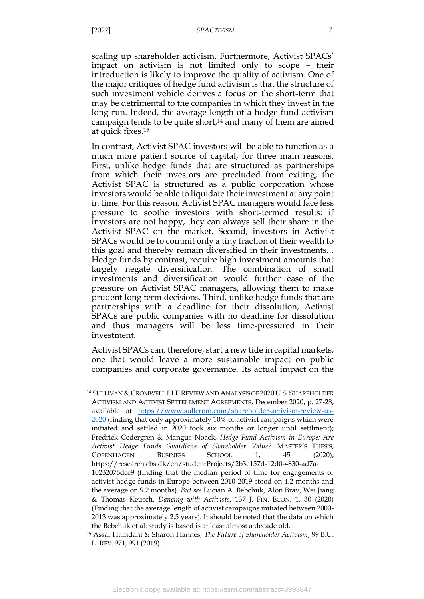scaling up shareholder activism. Furthermore, Activist SPACs' impact on activism is not limited only to scope – their introduction is likely to improve the quality of activism. One of the major critiques of hedge fund activism is that the structure of such investment vehicle derives a focus on the short-term that may be detrimental to the companies in which they invest in the long run. Indeed, the average length of a hedge fund activism campaign tends to be quite short, $14$  and many of them are aimed at quick fixes.<sup>15</sup>

<span id="page-7-1"></span><span id="page-7-0"></span>In contrast, Activist SPAC investors will be able to function as a much more patient source of capital, for three main reasons. First, unlike hedge funds that are structured as partnerships from which their investors are precluded from exiting, the Activist SPAC is structured as a public corporation whose investors would be able to liquidate their investment at any point in time. For this reason, Activist SPAC managers would face less pressure to soothe investors with short-termed results: if investors are not happy, they can always sell their share in the Activist SPAC on the market. Second, investors in Activist SPACs would be to commit only a tiny fraction of their wealth to this goal and thereby remain diversified in their investments. . Hedge funds by contrast, require high investment amounts that largely negate diversification. The combination of small investments and diversification would further ease of the pressure on Activist SPAC managers, allowing them to make prudent long term decisions. Third, unlike hedge funds that are partnerships with a deadline for their dissolution, Activist SPACs are public companies with no deadline for dissolution and thus managers will be less time-pressured in their investment.

Activist SPACs can, therefore, start a new tide in capital markets, one that would leave a more sustainable impact on public companies and corporate governance. Its actual impact on the

<sup>14</sup> SULLIVAN & CROMWELL LLP REVIEW AND ANALYSIS OF 2020 U.S. SHAREHOLDER ACTIVISM AND ACTIVIST SETTELEMENT AGREEMENTS, December 2020, p. 27-28, available at [https://www.sullcrom.com/shareholder-activism-review-us-](https://www.sullcrom.com/shareholder-activism-review-us-2020)[2020](https://www.sullcrom.com/shareholder-activism-review-us-2020) (finding that only approximately 10% of activist campaigns which were initiated and settled in 2020 took six months or longer until settlment); Fredrick Cedergren & Mangus Noack, *Hedge Fund Activism in Europe: Are Activist Hedge Funds Guardians of Shareholder Value?* MASTER'S THESIS, COPENHAGEN BUSINESS SCHOOL 1, 45 (2020), https://research.cbs.dk/en/studentProjects/2b3e157d-12d0-4830-ad7a-10232076dcc9 (finding that the median period of time for engagements of activist hedge funds in Europe between 2010-2019 stood on 4.2 months and the average on 9.2 months). *But see* Lucian A. Bebchuk, Alon Brav, Wei Jiang & Thomas Keusch, *Dancing with Activists*, 137 J. FIN. ECON. 1, 30 (2020) (Finding that the average length of activist campaigns initiated between 2000- 2013 was approximately 2.5 years). It should be noted that the data on which the Bebchuk et al. study is based is at least almost a decade old.

<sup>15</sup> Assaf Hamdani & Sharon Hannes, *The Future of Shareholder Activism*, 99 B.U. L. REV. 971, 991 (2019).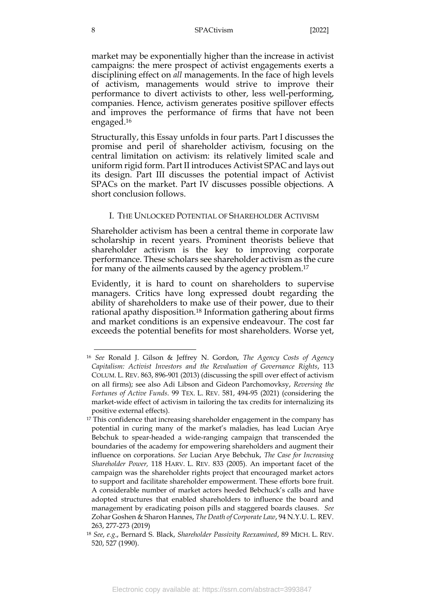market may be exponentially higher than the increase in activist campaigns: the mere prospect of activist engagements exerts a disciplining effect on *all* managements. In the face of high levels of activism, managements would strive to improve their performance to divert activists to other, less well-performing, companies. Hence, activism generates positive spillover effects and improves the performance of firms that have not been engaged. 16

<span id="page-8-2"></span>Structurally, this Essay unfolds in four parts. Part I discusses the promise and peril of shareholder activism, focusing on the central limitation on activism: its relatively limited scale and uniform rigid form. Part II introduces Activist SPAC and lays out its design. Part III discusses the potential impact of Activist SPACs on the market. Part IV discusses possible objections. A short conclusion follows.

#### I. THE UNLOCKED POTENTIAL OF SHAREHOLDER ACTIVISM

<span id="page-8-0"></span>Shareholder activism has been a central theme in corporate law scholarship in recent years. Prominent theorists believe that shareholder activism is the key to improving corporate performance. These scholars see shareholder activism as the cure for many of the ailments caused by the agency problem. 17

<span id="page-8-1"></span>Evidently, it is hard to count on shareholders to supervise managers. Critics have long expressed doubt regarding the ability of shareholders to make use of their power, due to their rational apathy disposition.<sup>18</sup> Information gathering about firms and market conditions is an expensive endeavour. The cost far exceeds the potential benefits for most shareholders. Worse yet,

<sup>16</sup> *See* Ronald J. Gilson & Jeffrey N. Gordon, *The Agency Costs of Agency Capitalism: Activist Investors and the Revaluation of Governance Rights*, 113 COLUM. L. REV. 863, 896-901 (2013) (discussing the spill over effect of activism on all firms); see also Adi Libson and Gideon Parchomovksy, *Reversing the Fortunes of Active Funds*. 99 TEX. L. REV. 581, 494-95 (2021) (considering the market-wide effect of activism in tailoring the tax credits for internalizing its positive external effects).

<sup>&</sup>lt;sup>17</sup> This confidence that increasing shareholder engagement in the company has potential in curing many of the market's maladies, has lead Lucian Arye Bebchuk to spear-headed a wide-ranging campaign that transcended the boundaries of the academy for empowering shareholders and augment their influence on corporations. *See* Lucian Arye Bebchuk, *The Case for Increasing Shareholder Power,* 118 HARV. L. REV. 833 (2005). An important facet of the campaign was the shareholder rights project that encouraged market actors to support and facilitate shareholder empowerment. These efforts bore fruit. A considerable number of market actors heeded Bebchuck's calls and have adopted structures that enabled shareholders to influence the board and management by eradicating poison pills and staggered boards clauses. *See* Zohar Goshen & Sharon Hannes, *The Death of Corporate Law*, 94 N.Y.U. L. REV. 263, 277-273 (2019)

<sup>18</sup> *See*, *e.g*., Bernard S. Black, *Shareholder Passivity Reexamined*, 89 MICH. L. REV. 520, 527 (1990).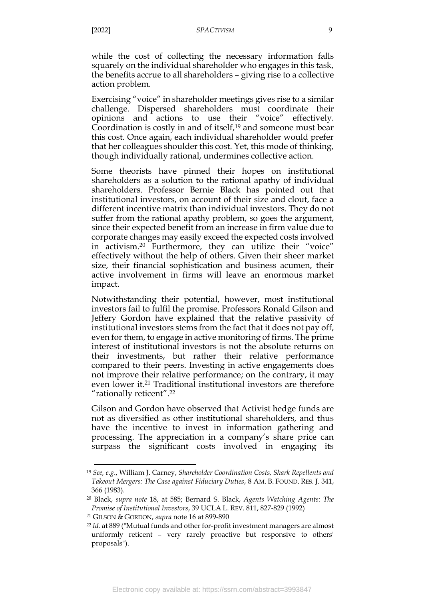while the cost of collecting the necessary information falls squarely on the individual shareholder who engages in this task, the benefits accrue to all shareholders – giving rise to a collective action problem.

Exercising "voice" in shareholder meetings gives rise to a similar challenge. Dispersed shareholders must coordinate their opinions and actions to use their "voice" effectively. Coordination is costly in and of itself, <sup>19</sup> and someone must bear this cost. Once again, each individual shareholder would prefer that her colleagues shoulder this cost. Yet, this mode of thinking, though individually rational, undermines collective action.

Some theorists have pinned their hopes on institutional shareholders as a solution to the rational apathy of individual shareholders. Professor Bernie Black has pointed out that institutional investors, on account of their size and clout, face a different incentive matrix than individual investors. They do not suffer from the rational apathy problem, so goes the argument, since their expected benefit from an increase in firm value due to corporate changes may easily exceed the expected costs involved in activism.<sup>20</sup> Furthermore, they can utilize their "voice" effectively without the help of others. Given their sheer market size, their financial sophistication and business acumen, their active involvement in firms will leave an enormous market impact.

Notwithstanding their potential, however, most institutional investors fail to fulfil the promise. Professors Ronald Gilson and Jeffery Gordon have explained that the relative passivity of institutional investors stems from the fact that it does not pay off, even for them, to engage in active monitoring of firms. The prime interest of institutional investors is not the absolute returns on their investments, but rather their relative performance compared to their peers. Investing in active engagements does not improve their relative performance; on the contrary, it may even lower it.<sup>21</sup> Traditional institutional investors are therefore "rationally reticent".<sup>22</sup>

Gilson and Gordon have observed that Activist hedge funds are not as diversified as other institutional shareholders, and thus have the incentive to invest in information gathering and processing. The appreciation in a company's share price can surpass the significant costs involved in engaging its

<sup>19</sup> *See, e.g*., William J. Carney, *Shareholder Coordination Costs, Shark Repellents and Takeout Mergers: The Case against Fiduciary Duties*, 8 AM. B. FOUND. RES. J. 341, 366 (1983).

<sup>20</sup> Black, *supra note* [18,](#page-8-1) at 585; Bernard S. Black, *Agents Watching Agents: The Promise of Institutional Investors*, 39 UCLA L. REV. 811, 827-829 (1992)

<sup>21</sup> GILSON & GORDON, *supra* note [16](#page-8-2) at 899-890

<sup>22</sup> *Id.* at 889 ("Mutual funds and other for-profit investment managers are almost uniformly reticent – very rarely proactive but responsive to others' proposals").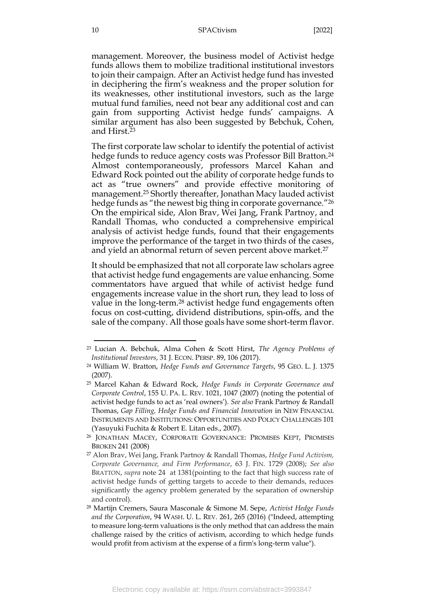management. Moreover, the business model of Activist hedge funds allows them to mobilize traditional institutional investors to join their campaign. After an Activist hedge fund has invested in deciphering the firm's weakness and the proper solution for its weaknesses, other institutional investors, such as the large mutual fund families, need not bear any additional cost and can gain from supporting Activist hedge funds' campaigns. A similar argument has also been suggested by Bebchuk, Cohen, and Hirst.<sup>23</sup>

<span id="page-10-1"></span><span id="page-10-0"></span>The first corporate law scholar to identify the potential of activist hedge funds to reduce agency costs was Professor Bill Bratton.<sup>24</sup> Almost contemporaneously, professors Marcel Kahan and Edward Rock pointed out the ability of corporate hedge funds to act as "true owners" and provide effective monitoring of management.<sup>25</sup> Shortly thereafter, Jonathan Macy lauded activist hedge funds as "the newest big thing in corporate governance."<sup>26</sup> On the empirical side, Alon Brav, Wei Jang, Frank Partnoy, and Randall Thomas, who conducted a comprehensive empirical analysis of activist hedge funds, found that their engagements improve the performance of the target in two thirds of the cases, and yield an abnormal return of seven percent above market.<sup>27</sup>

<span id="page-10-2"></span>It should be emphasized that not all corporate law scholars agree that activist hedge fund engagements are value enhancing. Some commentators have argued that while of activist hedge fund engagements increase value in the short run, they lead to loss of value in the long-term. <sup>28</sup> activist hedge fund engagements often focus on cost-cutting, dividend distributions, spin-offs, and the sale of the company. All those goals have some short-term flavor.

<sup>23</sup> Lucian A. Bebchuk, Alma Cohen & Scott Hirst, *The Agency Problems of Institutional Investors*, 31 J. ECON. PERSP. 89, 106 (2017).

<sup>24</sup> William W. Bratton, *Hedge Funds and Governance Targets*, 95 GEO. L. J. 1375 (2007).

<sup>25</sup> Marcel Kahan & Edward Rock, *Hedge Funds in Corporate Governance and Corporate Control*, 155 U. PA. L. REV. 1021, 1047 (2007) (noting the potential of activist hedge funds to act as 'real owners'). *See also* Frank Partnoy & Randall Thomas, *Gap Filling, Hedge Funds and Financial Innovation* in NEW FINANCIAL INSTRUMENTS AND INSTITUTIONS: OPPORTUNITIES AND POLICY CHALLENGES 101 (Yasuyuki Fuchita & Robert E. Litan eds., 2007).

<sup>26</sup> JONATHAN MACEY, CORPORATE GOVERNANCE: PROMISES KEPT, PROMISES BROKEN 241 (2008)

<sup>27</sup> Alon Brav, Wei Jang, Frank Partnoy & Randall Thomas, *Hedge Fund Activism, Corporate Governance, and Firm Performance*, 63 J. FIN. 1729 (2008); *See also* BRATTON, *supra* note [24](#page-10-0) at 1381(pointing to the fact that high success rate of activist hedge funds of getting targets to accede to their demands, reduces significantly the agency problem generated by the separation of ownership and control).

<sup>28</sup> Martijn Cremers, Saura Masconale & Simone M. Sepe, *Activist Hedge Funds and the Corporation*, 94 WASH. U. L. REV. 261, 265 (2016) ("Indeed, attempting to measure long-term valuations is the only method that can address the main challenge raised by the critics of activism, according to which hedge funds would profit from activism at the expense of a firm's long-term value").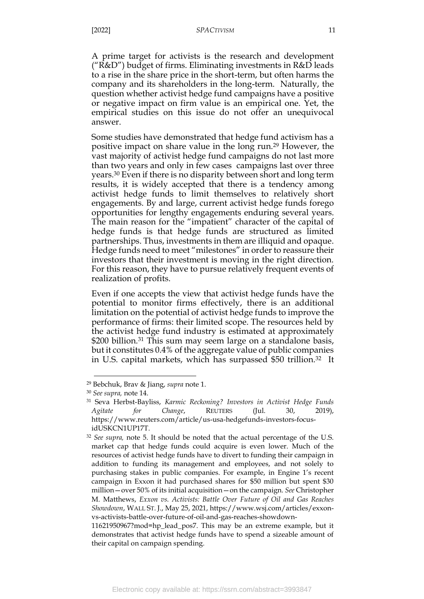A prime target for activists is the research and development ("R&D") budget of firms. Eliminating investments in R&D leads to a rise in the share price in the short-term, but often harms the company and its shareholders in the long-term. Naturally, the question whether activist hedge fund campaigns have a positive or negative impact on firm value is an empirical one. Yet, the empirical studies on this issue do not offer an unequivocal answer.

<span id="page-11-1"></span>Some studies have demonstrated that hedge fund activism has a positive impact on share value in the long run.<sup>29</sup> However, the vast majority of activist hedge fund campaigns do not last more than two years and only in few cases campaigns last over three years.<sup>30</sup> Even if there is no disparity between short and long term results, it is widely accepted that there is a tendency among activist hedge funds to limit themselves to relatively short engagements. By and large, current activist hedge funds forego opportunities for lengthy engagements enduring several years. The main reason for the "impatient" character of the capital of hedge funds is that hedge funds are structured as limited partnerships. Thus, investments in them are illiquid and opaque. Hedge funds need to meet "milestones" in order to reassure their investors that their investment is moving in the right direction. For this reason, they have to pursue relatively frequent events of realization of profits.

Even if one accepts the view that activist hedge funds have the potential to monitor firms effectively, there is an additional limitation on the potential of activist hedge funds to improve the performance of firms: their limited scope. The resources held by the activist hedge fund industry is estimated at approximately \$200 billion.<sup>31</sup> This sum may seem large on a standalone basis, but it constitutes 0.4% of the aggregate value of public companies in U.S. capital markets, which has surpassed \$50 trillion.<sup>32</sup> It

<span id="page-11-0"></span><sup>29</sup> Bebchuk, Brav & Jiang, *supra* note [1.](#page-2-1)

<sup>30</sup> *See supra,* note [14.](#page-7-0)

<sup>31</sup> Seva Herbst-Bayliss, *Karmic Reckoning? Investors in Activist Hedge Funds Agitate for Change*, REUTERS (Jul. 30, 2019), https://www.reuters.com/article/us-usa-hedgefunds-investors-focusidUSKCN1UP17T.

<sup>32</sup> *See supra,* note [5.](#page-3-0) It should be noted that the actual percentage of the U.S. market cap that hedge funds could acquire is even lower. Much of the resources of activist hedge funds have to divert to funding their campaign in addition to funding its management and employees, and not solely to purchasing stakes in public companies. For example, in Engine 1's recent campaign in Exxon it had purchased shares for \$50 million but spent \$30 million—over 50% of its initial acquisition—on the campaign. *See* Christopher M. Matthews, *Exxon vs. Activists: Battle Over Future of Oil and Gas Reaches Showdown*, WALL ST. J., May 25, 2021, https://www.wsj.com/articles/exxonvs-activists-battle-over-future-of-oil-and-gas-reaches-showdown-

<sup>11621950967?</sup>mod=hp\_lead\_pos7. This may be an extreme example, but it demonstrates that activist hedge funds have to spend a sizeable amount of their capital on campaign spending.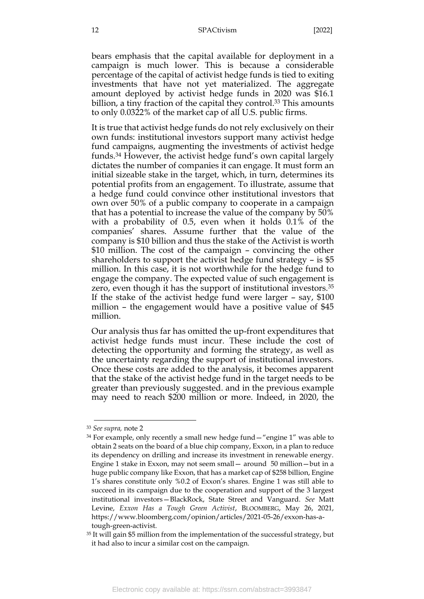bears emphasis that the capital available for deployment in a campaign is much lower. This is because a considerable percentage of the capital of activist hedge funds is tied to exiting investments that have not yet materialized. The aggregate amount deployed by activist hedge funds in 2020 was \$16.1 billion, a tiny fraction of the capital they control.<sup>33</sup> This amounts to only 0.0322% of the market cap of all U.S. public firms.

<span id="page-12-0"></span>It is true that activist hedge funds do not rely exclusively on their own funds: institutional investors support many activist hedge fund campaigns, augmenting the investments of activist hedge funds. <sup>34</sup> However, the activist hedge fund's own capital largely dictates the number of companies it can engage. It must form an initial sizeable stake in the target, which, in turn, determines its potential profits from an engagement. To illustrate, assume that a hedge fund could convince other institutional investors that own over 50% of a public company to cooperate in a campaign that has a potential to increase the value of the company by 50% with a probability of 0.5, even when it holds 0.1% of the companies' shares. Assume further that the value of the company is \$10 billion and thus the stake of the Activist is worth \$10 million. The cost of the campaign – convincing the other shareholders to support the activist hedge fund strategy – is \$5 million. In this case, it is not worthwhile for the hedge fund to engage the company. The expected value of such engagement is zero, even though it has the support of institutional investors.<sup>35</sup> If the stake of the activist hedge fund were larger – say, \$100 million – the engagement would have a positive value of \$45 million.

Our analysis thus far has omitted the up-front expenditures that activist hedge funds must incur. These include the cost of detecting the opportunity and forming the strategy, as well as the uncertainty regarding the support of institutional investors. Once these costs are added to the analysis, it becomes apparent that the stake of the activist hedge fund in the target needs to be greater than previously suggested. and in the previous example may need to reach \$200 million or more. Indeed, in 2020, the

<sup>33</sup> *See supra,* note [2](#page-3-1)

 $34$  For example, only recently a small new hedge fund  $-$  "engine 1" was able to obtain 2 seats on the board of a blue chip company, Exxon, in a plan to reduce its dependency on drilling and increase its investment in renewable energy. Engine 1 stake in Exxon, may not seem small— around 50 million—but in a huge public company like Exxon, that has a market cap of \$258 billion, Engine 1's shares constitute only %0.2 of Exxon's shares. Engine 1 was still able to succeed in its campaign due to the cooperation and support of the 3 largest institutional investors—BlackRock, State Street and Vanguard. *See* Matt Levine, *Exxon Has a Tough Green Activist*, BLOOMBERG, May 26, 2021, https://www.bloomberg.com/opinion/articles/2021-05-26/exxon-has-atough-green-activist.

<sup>35</sup> It will gain \$5 million from the implementation of the successful strategy, but it had also to incur a similar cost on the campaign.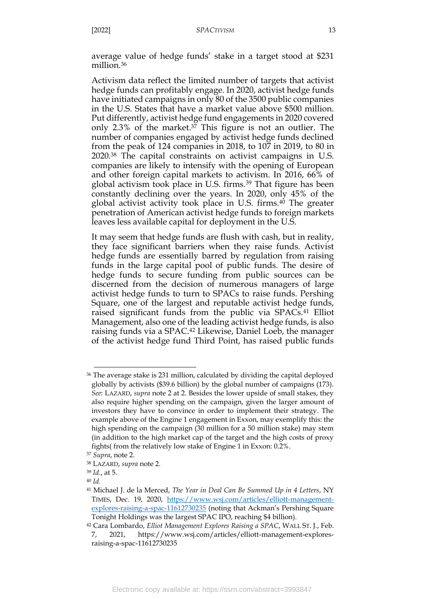average value of hedge funds' stake in a target stood at \$231 million. 36

Activism data reflect the limited number of targets that activist hedge funds can profitably engage. In 2020, activist hedge funds have initiated campaigns in only 80 of the 3500 public companies in the U.S. States that have a market value above \$500 million. Put differently, activist hedge fund engagements in 2020 covered only 2.3% of the market. <sup>37</sup> This figure is not an outlier. The number of companies engaged by activist hedge funds declined from the peak of 124 companies in 2018, to 107 in 2019, to 80 in 2020.<sup>38</sup> The capital constraints on activist campaigns in U.S. companies are likely to intensify with the opening of European and other foreign capital markets to activism. In 2016, 66% of global activism took place in U.S. firms.<sup>39</sup> That figure has been constantly declining over the years. In 2020, only 45% of the global activist activity took place in U.S. firms.<sup>40</sup> The greater penetration of American activist hedge funds to foreign markets leaves less available capital for deployment in the U.S.

It may seem that hedge funds are flush with cash, but in reality, they face significant barriers when they raise funds. Activist hedge funds are essentially barred by regulation from raising funds in the large capital pool of public funds. The desire of hedge funds to secure funding from public sources can be discerned from the decision of numerous managers of large activist hedge funds to turn to SPACs to raise funds. Pershing Square, one of the largest and reputable activist hedge funds, raised significant funds from the public via SPACs.<sup>41</sup> Elliot Management, also one of the leading activist hedge funds, is also raising funds via a SPAC.<sup>42</sup> Likewise, Daniel Loeb, the manager of the activist hedge fund Third Point, has raised public funds

<sup>36</sup> The average stake is 231 million, calculated by dividing the capital deployed globally by activists (\$39.6 billion) by the global number of campaigns (173). *See*: LAZARD, *supra* note [2](#page-3-1) at 2. Besides the lower upside of small stakes, they also require higher spending on the campaign, given the larger amount of investors they have to convince in order to implement their strategy. The example above of the Engine 1 engagement in Exxon, may exemplify this: the high spending on the campaign (30 million for a 50 million stake) may stem (in addition to the high market cap of the target and the high costs of proxy fights( from the relatively low stake of Engine 1 in Exxon: 0.2%.

<sup>37</sup> *Supra*, note [2.](#page-3-1)

<sup>38</sup> LAZARD, *supra* note [2.](#page-3-1)

<sup>39</sup> *Id.*, at 5.

<sup>40</sup> *Id.*

<sup>41</sup> Michael J. de la Merced, *The Year in Deal Can Be Summed Up in 4 Letters*, NY TIMES, Dec. 19, 2020, [https://www.wsj.com/articles/elliott-management](https://www.wsj.com/articles/elliott-management-explores-raising-a-spac-11612730235)[explores-raising-a-spac-11612730235](https://www.wsj.com/articles/elliott-management-explores-raising-a-spac-11612730235) (noting that Ackman's Pershing Square Tonight Holdings was the largest SPAC IPO, reaching \$4 billion).

<sup>42</sup> Cara Lombardo, *Elliot Management Explores Raising a SPAC*, WALL ST. J., Feb. 7, 2021, https://www.wsj.com/articles/elliott-management-exploresraising-a-spac-11612730235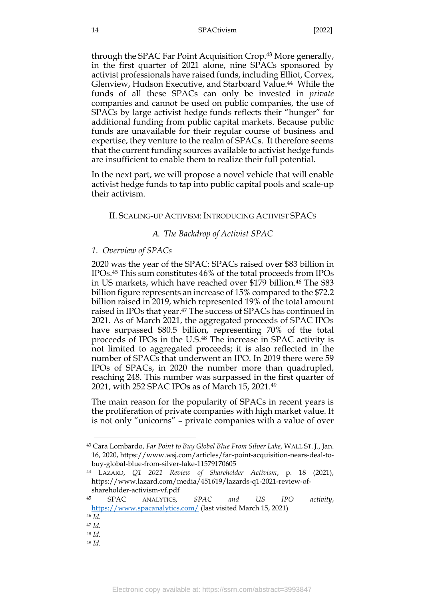through the SPAC Far Point Acquisition Crop.<sup>43</sup> More generally, in the first quarter of 2021 alone, nine SPACs sponsored by activist professionals have raised funds, including Elliot, Corvex, Glenview, Hudson Executive, and Starboard Value.<sup>44</sup> While the funds of all these SPACs can only be invested in *private* companies and cannot be used on public companies, the use of SPACs by large activist hedge funds reflects their "hunger" for additional funding from public capital markets. Because public funds are unavailable for their regular course of business and expertise, they venture to the realm of SPACs. It therefore seems that the current funding sources available to activist hedge funds are insufficient to enable them to realize their full potential.

<span id="page-14-0"></span>In the next part, we will propose a novel vehicle that will enable activist hedge funds to tap into public capital pools and scale-up their activism.

#### II. SCALING-UP ACTIVISM: INTRODUCING ACTIVIST SPACS

## *A. The Backdrop of Activist SPAC*

#### <span id="page-14-2"></span><span id="page-14-1"></span>*1. Overview of SPACs*

2020 was the year of the SPAC: SPACs raised over \$83 billion in IPOs. <sup>45</sup> This sum constitutes 46% of the total proceeds from IPOs in US markets, which have reached over \$179 billion.<sup>46</sup> The \$83 billion figure represents an increase of 15% compared to the \$72.2 billion raised in 2019, which represented 19% of the total amount raised in IPOs that year. <sup>47</sup> The success of SPACs has continued in 2021. As of March 2021, the aggregated proceeds of SPAC IPOs have surpassed \$80.5 billion, representing 70% of the total proceeds of IPOs in the U.S. <sup>48</sup> The increase in SPAC activity is not limited to aggregated proceeds; it is also reflected in the number of SPACs that underwent an IPO. In 2019 there were 59 IPOs of SPACs, in 2020 the number more than quadrupled, reaching 248. This number was surpassed in the first quarter of 2021, with 252 SPAC IPOs as of March 15, 2021.<sup>49</sup>

The main reason for the popularity of SPACs in recent years is the proliferation of private companies with high market value. It is not only "unicorns" – private companies with a value of over

<sup>49</sup> *Id.*

<sup>43</sup> Cara Lombardo, *Far Point to Buy Global Blue From Silver Lake*, WALL ST. J., Jan. 16, 2020, https://www.wsj.com/articles/far-point-acquisition-nears-deal-tobuy-global-blue-from-silver-lake-11579170605

<sup>44</sup> LAZARD, *Q1 2021 Review of Shareholder Activism*, p. 18 (2021), https://www.lazard.com/media/451619/lazards-q1-2021-review-ofshareholder-activism-vf.pdf

<sup>45</sup> SPAC ANALYTICS, *SPAC and US IPO activity*, <https://www.spacanalytics.com/> (last visited March 15, 2021)

<sup>46</sup> *Id.*

<sup>47</sup> *Id.*

<sup>48</sup> *Id.*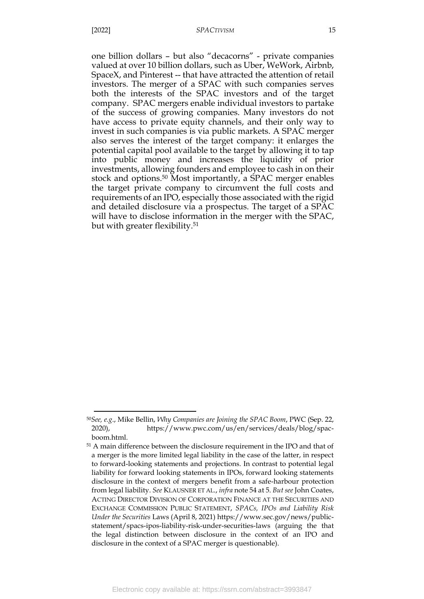one billion dollars – but also "decacorns" - private companies valued at over 10 billion dollars, such as Uber, WeWork, Airbnb, SpaceX, and Pinterest -- that have attracted the attention of retail investors. The merger of a SPAC with such companies serves both the interests of the SPAC investors and of the target company. SPAC mergers enable individual investors to partake of the success of growing companies. Many investors do not have access to private equity channels, and their only way to invest in such companies is via public markets. A SPAC merger also serves the interest of the target company: it enlarges the potential capital pool available to the target by allowing it to tap into public money and increases the liquidity of prior investments, allowing founders and employee to cash in on their stock and options. <sup>50</sup> Most importantly, a SPAC merger enables the target private company to circumvent the full costs and requirements of an IPO, especially those associated with the rigid and detailed disclosure via a prospectus. The target of a SPAC will have to disclose information in the merger with the SPAC, but with greater flexibility.<sup>51</sup>

<sup>50</sup>*See, e.g*., Mike Bellin, *Why Companies are Joining the SPAC Boom*, PWC (Sep. 22, 2020), https://www.pwc.com/us/en/services/deals/blog/spacboom.html.

<sup>51</sup> A main difference between the disclosure requirement in the IPO and that of a merger is the more limited legal liability in the case of the latter, in respect to forward-looking statements and projections. In contrast to potential legal liability for forward looking statements in IPOs, forward looking statements disclosure in the context of mergers benefit from a safe-harbour protection from legal liability. *See* KLAUSNER ET AL., *infra* not[e 54](#page-17-0) at 5. *But see* John Coates, ACTING DIRECTOR DIVISION OF CORPORATION FINANCE AT THE SECURITIES AND EXCHANGE COMMISSION PUBLIC STATEMENT, *SPACs, IPOs and Liability Risk Under the Securities* Laws (April 8, 2021) https://www.sec.gov/news/publicstatement/spacs-ipos-liability-risk-under-securities-laws (arguing the that the legal distinction between disclosure in the context of an IPO and disclosure in the context of a SPAC merger is questionable).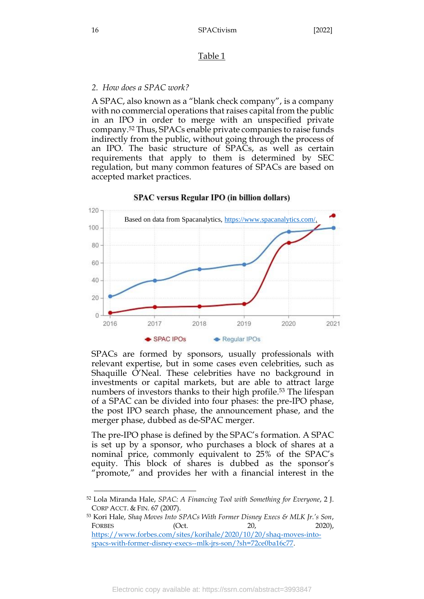## Table 1

## <span id="page-16-0"></span>*2. How does a SPAC work?*

A SPAC, also known as a "blank check company", is a company with no commercial operations that raises capital from the public in an IPO in order to merge with an unspecified private company.<sup>52</sup> Thus, SPACs enable private companies to raise funds indirectly from the public, without going through the process of an IPO. The basic structure of SPACs, as well as certain requirements that apply to them is determined by SEC regulation, but many common features of SPACs are based on accepted market practices.



## SPAC versus Regular IPO (in billion dollars)

SPACs are formed by sponsors, usually professionals with relevant expertise, but in some cases even celebrities, such as Shaquille O'Neal. These celebrities have no background in investments or capital markets, but are able to attract large numbers of investors thanks to their high profile. <sup>53</sup> The lifespan of a SPAC can be divided into four phases: the pre-IPO phase, the post IPO search phase, the announcement phase, and the merger phase, dubbed as de-SPAC merger.

The pre-IPO phase is defined by the SPAC's formation. A SPAC is set up by a sponsor, who purchases a block of shares at a nominal price, commonly equivalent to 25% of the SPAC's equity. This block of shares is dubbed as the sponsor's "promote," and provides her with a financial interest in the

<sup>53</sup> Kori Hale, *Shaq Moves Into SPACs With Former Disney Execs & MLK Jr.'s Son*, FORBES (Oct. 20, 2020), [https://www.forbes.com/sites/korihale/2020/10/20/shaq-moves-into](https://www.forbes.com/sites/korihale/2020/10/20/shaq-moves-into-spacs-with-former-disney-execs--mlk-jrs-son/?sh=72ce0ba16c77)[spacs-with-former-disney-execs--mlk-jrs-son/?sh=72ce0ba16c77.](https://www.forbes.com/sites/korihale/2020/10/20/shaq-moves-into-spacs-with-former-disney-execs--mlk-jrs-son/?sh=72ce0ba16c77)

<sup>52</sup> Lola Miranda Hale, *SPAC: A Financing Tool with Something for Everyone*, 2 J. CORP ACCT. & FIN. 67 (2007).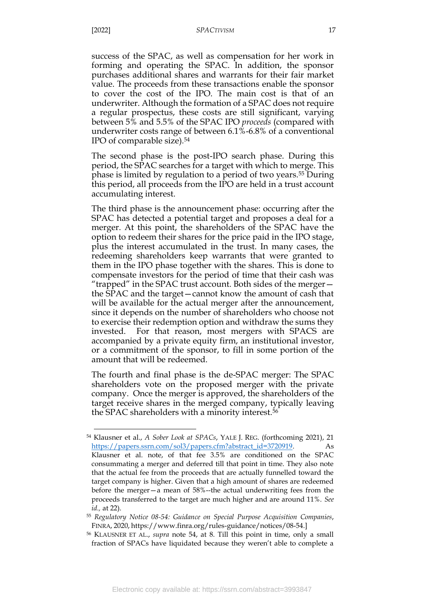success of the SPAC, as well as compensation for her work in forming and operating the SPAC. In addition, the sponsor purchases additional shares and warrants for their fair market value. The proceeds from these transactions enable the sponsor to cover the cost of the IPO. The main cost is that of an underwriter. Although the formation of a SPAC does not require a regular prospectus, these costs are still significant, varying between 5% and 5.5% of the SPAC IPO *proceeds* (compared with underwriter costs range of between 6.1%-6.8% of a conventional IPO of comparable size)*.* 54

<span id="page-17-0"></span>The second phase is the post-IPO search phase. During this period, the SPAC searches for a target with which to merge. This phase is limited by regulation to a period of two years.<sup>55</sup> During this period, all proceeds from the IPO are held in a trust account accumulating interest.

The third phase is the announcement phase: occurring after the SPAC has detected a potential target and proposes a deal for a merger. At this point, the shareholders of the SPAC have the option to redeem their shares for the price paid in the IPO stage, plus the interest accumulated in the trust. In many cases, the redeeming shareholders keep warrants that were granted to them in the IPO phase together with the shares. This is done to compensate investors for the period of time that their cash was "trapped" in the SPAC trust account. Both sides of the merger the SPAC and the target—cannot know the amount of cash that will be available for the actual merger after the announcement, since it depends on the number of shareholders who choose not to exercise their redemption option and withdraw the sums they invested. For that reason, most mergers with SPACS are accompanied by a private equity firm, an institutional investor, or a commitment of the sponsor, to fill in some portion of the amount that will be redeemed.

The fourth and final phase is the de-SPAC merger: The SPAC shareholders vote on the proposed merger with the private company. Once the merger is approved, the shareholders of the target receive shares in the merged company, typically leaving the SPAC shareholders with a minority interest.<sup>56</sup>

<sup>54</sup> Klausner et al., *A Sober Look at SPACs*, YALE J. REG. (forthcoming 2021), 21 [https://papers.ssrn.com/sol3/papers.cfm?abstract\\_id=3720919.](https://papers.ssrn.com/sol3/papers.cfm?abstract_id=3720919) As Klausner et al. note, of that fee 3.5% are conditioned on the SPAC consummating a merger and deferred till that point in time. They also note that the actual fee from the proceeds that are actually funnelled toward the target company is higher. Given that a high amount of shares are redeemed before the merger—a mean of 58%--the actual underwriting fees from the proceeds transferred to the target are much higher and are around 11%. *See id.,* at 22).

<sup>55</sup> *Regulatory Notice 08-54: Guidance on Special Purpose Acquisition Companies*, FINRA, 2020, https://www.finra.org/rules-guidance/notices/08-54.]

<sup>56</sup> KLAUSNER ET AL., *supra* note [54,](#page-17-0) at 8. Till this point in time, only a small fraction of SPACs have liquidated because they weren't able to complete a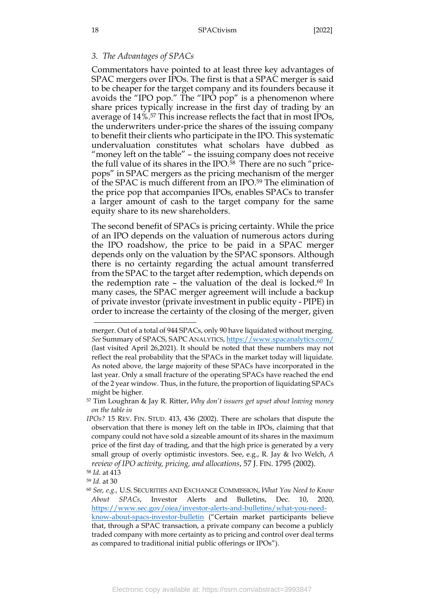## <span id="page-18-0"></span>*3. The Advantages of SPACs*

Commentators have pointed to at least three key advantages of SPAC mergers over IPOs. The first is that a SPAC merger is said to be cheaper for the target company and its founders because it avoids the "IPO pop." The "IPO pop" is a phenomenon where share prices typically increase in the first day of trading by an average of 14%.<sup>57</sup> This increase reflects the fact that in most IPOs, the underwriters under-price the shares of the issuing company to benefit their clients who participate in the IPO. This systematic undervaluation constitutes what scholars have dubbed as "money left on the table" – the issuing company does not receive the full value of its shares in the IPO.<sup>58</sup> There are no such "pricepops" in SPAC mergers as the pricing mechanism of the merger of the SPAC is much different from an IPO. <sup>59</sup> The elimination of the price pop that accompanies IPOs, enables SPACs to transfer a larger amount of cash to the target company for the same equity share to its new shareholders.

The second benefit of SPACs is pricing certainty. While the price of an IPO depends on the valuation of numerous actors during the IPO roadshow, the price to be paid in a SPAC merger depends only on the valuation by the SPAC sponsors. Although there is no certainty regarding the actual amount transferred from the SPAC to the target after redemption, which depends on the redemption rate – the valuation of the deal is locked. <sup>60</sup> In many cases, the SPAC merger agreement will include a backup of private investor (private investment in public equity - PIPE) in order to increase the certainty of the closing of the merger, given

<sup>59</sup> *Id.* at 30

merger. Out of a total of 944 SPACs, only 90 have liquidated without merging. *See* Summary of SPACS, SAPC ANALYTICS,<https://www.spacanalytics.com/> (last visited April 26,2021). It should be noted that these numbers may not reflect the real probability that the SPACs in the market today will liquidate. As noted above, the large majority of these SPACs have incorporated in the last year. Only a small fracture of the operating SPACs have reached the end of the 2 year window. Thus, in the future, the proportion of liquidating SPACs might be higher.

<sup>57</sup> Tim Loughran & Jay R. Ritter, *Why don't issuers get upset about leaving money on the table in*

*IPOs?* 15 REV. FIN. STUD. 413, 436 (2002). There are scholars that dispute the observation that there is money left on the table in IPOs, claiming that that company could not have sold a sizeable amount of its shares in the maximum price of the first day of trading, and that the high price is generated by a very small group of overly optimistic investors. See, e.g., R. Jay & Ivo Welch, *A review of IPO activity, pricing, and allocations*, 57 J. FIN. 1795 (2002).

<sup>58</sup> *Id.* at 413

<sup>60</sup> *See, e.g.,* U.S. SECURITIES AND EXCHANGE COMMISSION, *What You Need to Know About SPACs*, Investor Alerts and Bulletins, Dec. 10, 2020, [https://www.sec.gov/oiea/investor-alerts-and-bulletins/what-you-need](https://www.sec.gov/oiea/investor-alerts-and-bulletins/what-you-need-know-about-spacs-investor-bulletin)[know-about-spacs-investor-bulletin](https://www.sec.gov/oiea/investor-alerts-and-bulletins/what-you-need-know-about-spacs-investor-bulletin) ("Certain market participants believe that, through a SPAC transaction, a private company can become a publicly traded company with more certainty as to pricing and control over deal terms as compared to traditional initial public offerings or IPOs").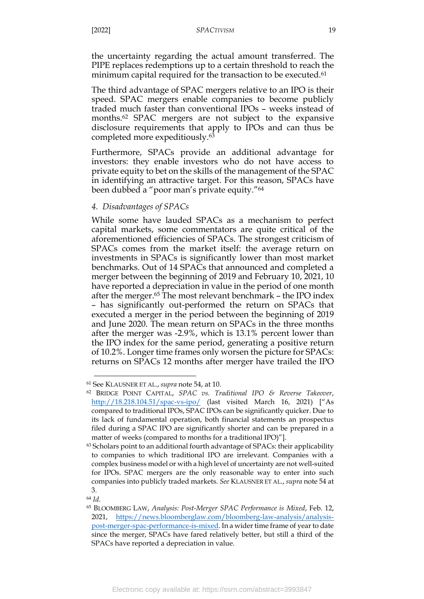the uncertainty regarding the actual amount transferred. The PIPE replaces redemptions up to a certain threshold to reach the minimum capital required for the transaction to be executed.<sup>61</sup>

The third advantage of SPAC mergers relative to an IPO is their speed. SPAC mergers enable companies to become publicly traded much faster than conventional IPOs – weeks instead of months. <sup>62</sup> SPAC mergers are not subject to the expansive disclosure requirements that apply to IPOs and can thus be completed more expeditiously.<sup>63</sup>

Furthermore, SPACs provide an additional advantage for investors: they enable investors who do not have access to private equity to bet on the skills of the management of the SPAC in identifying an attractive target. For this reason, SPACs have been dubbed a "poor man's private equity."<sup>64</sup>

### <span id="page-19-0"></span>*4. Disadvantages of SPACs*

While some have lauded SPACs as a mechanism to perfect capital markets, some commentators are quite critical of the aforementioned efficiencies of SPACs. The strongest criticism of SPACs comes from the market itself: the average return on investments in SPACs is significantly lower than most market benchmarks. Out of 14 SPACs that announced and completed a merger between the beginning of 2019 and February 10, 2021, 10 have reported a depreciation in value in the period of one month after the merger.<sup>65</sup> The most relevant benchmark – the IPO index – has significantly out-performed the return on SPACs that executed a merger in the period between the beginning of 2019 and June 2020. The mean return on SPACs in the three months after the merger was -2.9%, which is 13.1% percent lower than the IPO index for the same period, generating a positive return of 10.2%. Longer time frames only worsen the picture for SPACs: returns on SPACs 12 months after merger have trailed the IPO

<sup>61</sup> See KLAUSNER ET AL., *supra* note [54,](#page-17-0) at 10.

<sup>62</sup> BRIDGE POINT CAPITAL, *SPAC vs. Traditional IPO & Reverse Takeover*, <http://18.218.104.51/spac-vs-ipo/> (last visited March 16, 2021) ["As compared to traditional IPOs, SPAC IPOs can be significantly quicker. Due to its lack of fundamental operation, both financial statements an prospectus filed during a SPAC IPO are significantly shorter and can be prepared in a matter of weeks (compared to months for a traditional IPO)"].

<sup>&</sup>lt;sup>63</sup> Scholars point to an additional fourth advantage of SPACs: their applicability to companies to which traditional IPO are irrelevant. Companies with a complex business model or with a high level of uncertainty are not well-suited for IPOs. SPAC mergers are the only reasonable way to enter into such companies into publicly traded markets. *See* KLAUSNER ET AL., *supra* note [54](#page-17-0) at 3.

<sup>64</sup> *Id.*

<sup>65</sup> BLOOMBERG LAW, *Analysis: Post-Merger SPAC Performance is Mixed*, Feb. 12, 2021, [https://news.bloomberglaw.com/bloomberg-law-analysis/analysis](https://news.bloomberglaw.com/bloomberg-law-analysis/analysis-post-merger-spac-performance-is-mixed)[post-merger-spac-performance-is-mixed.](https://news.bloomberglaw.com/bloomberg-law-analysis/analysis-post-merger-spac-performance-is-mixed) In a wider time frame of year to date since the merger, SPACs have fared relatively better, but still a third of the SPACs have reported a depreciation in value.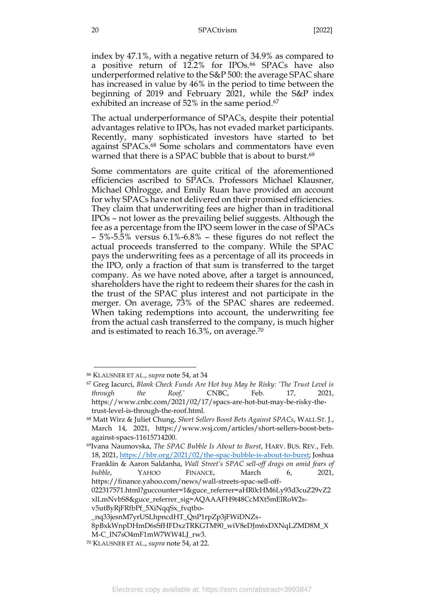index by 47.1%, with a negative return of 34.9% as compared to a positive return of 12.2% for IPOs.<sup>66</sup> SPACs have also underperformed relative to the S&P 500: the average SPAC share has increased in value by 46% in the period to time between the beginning of 2019 and February 2021, while the S&P index exhibited an increase of 52% in the same period.<sup>67</sup>

The actual underperformance of SPACs, despite their potential advantages relative to IPOs, has not evaded market participants. Recently, many sophisticated investors have started to bet against SPACs.<sup>68</sup> Some scholars and commentators have even warned that there is a SPAC bubble that is about to burst.<sup>69</sup>

Some commentators are quite critical of the aforementioned efficiencies ascribed to SPACs. Professors Michael Klausner, Michael Ohlrogge, and Emily Ruan have provided an account for why SPACs have not delivered on their promised efficiencies. They claim that underwriting fees are higher than in traditional IPOs – not lower as the prevailing belief suggests. Although the fee as a percentage from the IPO seem lower in the case of SPACs – 5%-5.5% versus 6.1%-6.8% – these figures do not reflect the actual proceeds transferred to the company. While the SPAC pays the underwriting fees as a percentage of all its proceeds in the IPO, only a fraction of that sum is transferred to the target company. As we have noted above, after a target is announced, shareholders have the right to redeem their shares for the cash in the trust of the SPAC plus interest and not participate in the merger. On average, 73% of the SPAC shares are redeemed. When taking redemptions into account, the underwriting fee from the actual cash transferred to the company, is much higher and is estimated to reach  $16.3\%$ , on average. $^{70}$ 

<sup>66</sup> KLAUSNER ET AL., *supra* note [54,](#page-17-0) at 34

<sup>67</sup> Greg Iacurci, *Blank Check Funds Are Hot buy May be Risky: 'The Trust Level is through the Roof,'* CNBC, Feb. 17, 2021, https://www.cnbc.com/2021/02/17/spacs-are-hot-but-may-be-risky-thetrust-level-is-through-the-roof.html.

<sup>68</sup> Matt Wirz & Juliet Chung, *Short Sellers Boost Bets Against SPACs*, WALL ST. J., March 14, 2021, https://www.wsj.com/articles/short-sellers-boost-betsagainst-spacs-11615714200.

<sup>69</sup>Ivana Naumovska, *The SPAC Bubble Is About to Burst*, HARV. BUS. REV., Feb. 18, 2021, [https://hbr.org/2021/02/the-spac-bubble-is-about-to-burst;](https://hbr.org/2021/02/the-spac-bubble-is-about-to-burst) Joshua Franklin & Aaron Saldanha, *Wall Street's SPAC sell-off drags on amid fears of bubble*, YAHOO FINANCE, March 6, 2021, https://finance.yahoo.com/news/wall-streets-spac-sell-off-

<sup>022317571.</sup>html?guccounter=1&guce\_referrer=aHR0cHM6Ly93d3cuZ29vZ2 xlLmNvbS8&guce\_referrer\_sig=AQAAAFH9t48CcMXt5mElRoW2sv5utByRjFRfbPf\_5XiNqqSx\_fvqtbo-

\_nq33jesnM7yrUSLhpncdHT\_QnP1rpZp3jFWiDNZs-

<sup>8</sup>pBxkWnpDHmD6sSfHFDxzTRKGTM90\_wiV8eDJm6xDXNqLZMD8M\_X M-C\_IN7sO4mF1mW7WW4LJ\_rw3.

<sup>70</sup> KLAUSNER ET AL., *supra* note [54,](#page-17-0) at 22.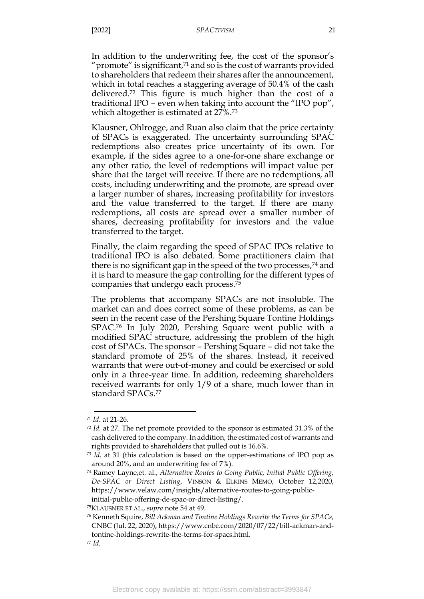In addition to the underwriting fee, the cost of the sponsor's " $\gamma$  promote" is significant, $\alpha$  and so is the cost of warrants provided to shareholders that redeem their shares after the announcement, which in total reaches a staggering average of 50.4% of the cash delivered.<sup>72</sup> This figure is much higher than the cost of a traditional IPO – even when taking into account the "IPO pop", which altogether is estimated at 27%.<sup>73</sup>

Klausner, Ohlrogge, and Ruan also claim that the price certainty of SPACs is exaggerated. The uncertainty surrounding SPAC redemptions also creates price uncertainty of its own. For example, if the sides agree to a one-for-one share exchange or any other ratio, the level of redemptions will impact value per share that the target will receive. If there are no redemptions, all costs, including underwriting and the promote, are spread over a larger number of shares, increasing profitability for investors and the value transferred to the target. If there are many redemptions, all costs are spread over a smaller number of shares, decreasing profitability for investors and the value transferred to the target.

Finally, the claim regarding the speed of SPAC IPOs relative to traditional IPO is also debated. Some practitioners claim that there is no significant gap in the speed of the two processes, <sup>74</sup> and it is hard to measure the gap controlling for the different types of companies that undergo each process. 75

The problems that accompany SPACs are not insoluble. The market can and does correct some of these problems, as can be seen in the recent case of the Pershing Square Tontine Holdings SPAC. <sup>76</sup> In July 2020, Pershing Square went public with a modified SPAC structure, addressing the problem of the high cost of SPACs. The sponsor – Pershing Square – did not take the standard promote of 25% of the shares. Instead, it received warrants that were out-of-money and could be exercised or sold only in a three-year time. In addition, redeeming shareholders received warrants for only 1/9 of a share, much lower than in standard SPACs.<sup>77</sup>

<sup>71</sup> *Id*. at 21-26.

<sup>72</sup> *Id.* at 27. The net promote provided to the sponsor is estimated 31.3% of the cash delivered to the company. In addition, the estimated cost of warrants and rights provided to shareholders that pulled out is 16.6%.

<sup>73</sup> *Id.* at 31 (this calculation is based on the upper-estimations of IPO pop as around 20%, and an underwriting fee of 7%).

<sup>74</sup> Ramey Layne,et. al., *Alternative Routes to Going Public, Initial Public Offering, De-SPAC or Direct Listing*, VINSON & ELKINS MEMO, October 12,2020, https://www.velaw.com/insights/alternative-routes-to-going-publicinitial-public-offering-de-spac-or-direct-listing/.

<sup>75</sup>KLAUSNER ET AL., *supra* note [54](#page-17-0) at 49.

<sup>76</sup> Kenneth Squire, *Bill Ackman and Tontine Holdings Rewrite the Terms for SPACs,* CNBC (Jul. 22, 2020), https://www.cnbc.com/2020/07/22/bill-ackman-andtontine-holdings-rewrite-the-terms-for-spacs.html. <sup>77</sup> *Id.*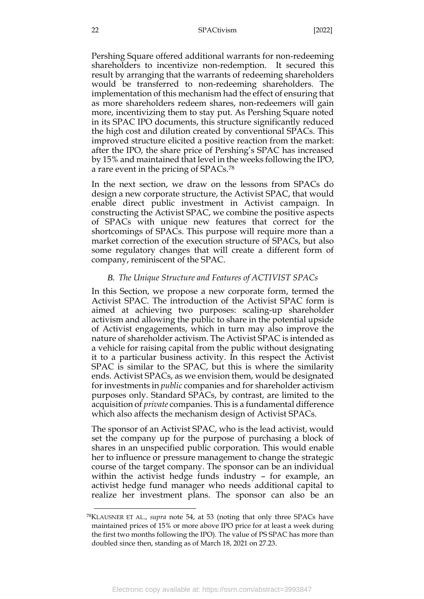Pershing Square offered additional warrants for non-redeeming shareholders to incentivize non-redemption. It secured this result by arranging that the warrants of redeeming shareholders would be transferred to non-redeeming shareholders. The implementation of this mechanism had the effect of ensuring that as more shareholders redeem shares, non-redeemers will gain more, incentivizing them to stay put. As Pershing Square noted in its SPAC IPO documents, this structure significantly reduced the high cost and dilution created by conventional SPACs. This improved structure elicited a positive reaction from the market: after the IPO, the share price of Pershing's SPAC has increased by 15% and maintained that level in the weeks following the IPO, a rare event in the pricing of SPACs.<sup>78</sup>

In the next section, we draw on the lessons from SPACs do design a new corporate structure, the Activist SPAC, that would enable direct public investment in Activist campaign. In constructing the Activist SPAC, we combine the positive aspects of SPACs with unique new features that correct for the shortcomings of SPACs. This purpose will require more than a market correction of the execution structure of SPACs, but also some regulatory changes that will create a different form of company, reminiscent of the SPAC.

## *B. The Unique Structure and Features of ACTIVIST SPACs*

<span id="page-22-0"></span>In this Section, we propose a new corporate form, termed the Activist SPAC. The introduction of the Activist SPAC form is aimed at achieving two purposes: scaling-up shareholder activism and allowing the public to share in the potential upside of Activist engagements, which in turn may also improve the nature of shareholder activism. The Activist SPAC is intended as a vehicle for raising capital from the public without designating it to a particular business activity. In this respect the Activist SPAC is similar to the SPAC, but this is where the similarity ends. Activist SPACs, as we envision them, would be designated for investments in *public* companies and for shareholder activism purposes only. Standard SPACs, by contrast, are limited to the acquisition of *private* companies. This is a fundamental difference which also affects the mechanism design of Activist SPACs.

The sponsor of an Activist SPAC, who is the lead activist, would set the company up for the purpose of purchasing a block of shares in an unspecified public corporation. This would enable her to influence or pressure management to change the strategic course of the target company. The sponsor can be an individual within the activist hedge funds industry – for example, an activist hedge fund manager who needs additional capital to realize her investment plans. The sponsor can also be an

<sup>78</sup>KLAUSNER ET AL., *supra* note [54,](#page-17-0) at 53 (noting that only three SPACs have maintained prices of 15% or more above IPO price for at least a week during the first two months following the IPO). The value of PS SPAC has more than doubled since then, standing as of March 18, 2021 on 27.23.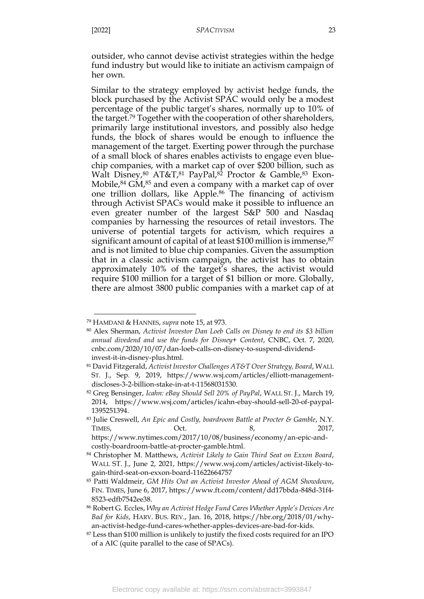outsider, who cannot devise activist strategies within the hedge fund industry but would like to initiate an activism campaign of her own.

Similar to the strategy employed by activist hedge funds, the block purchased by the Activist SPAC would only be a modest percentage of the public target's shares, normally up to 10% of the target. <sup>79</sup> Together with the cooperation of other shareholders, primarily large institutional investors, and possibly also hedge funds, the block of shares would be enough to influence the management of the target. Exerting power through the purchase of a small block of shares enables activists to engage even bluechip companies, with a market cap of over \$200 billion, such as Walt Disney,<sup>80</sup> AT&T,<sup>81</sup> PayPal,<sup>82</sup> Proctor & Gamble,<sup>83</sup> Exon-Mobile,<sup>84</sup> GM,<sup>85</sup> and even a company with a market cap of over one trillion dollars, like Apple. <sup>86</sup> The financing of activism through Activist SPACs would make it possible to influence an even greater number of the largest S&P 500 and Nasdaq companies by harnessing the resources of retail investors. The universe of potential targets for activism, which requires a significant amount of capital of at least \$100 million is immense, 87 and is not limited to blue chip companies. Given the assumption that in a classic activism campaign, the activist has to obtain approximately 10% of the target's shares, the activist would require \$100 million for a target of \$1 billion or more. Globally, there are almost 3800 public companies with a market cap of at

<sup>79</sup> HAMDANI & HANNES, *supra* note [15,](#page-7-1) at 973.

<sup>80</sup> Alex Sherman, *Activist Investor Dan Loeb Calls on Disney to end its \$3 billion annual divedend and use the funds for Disney+ Content*, CNBC, Oct. 7, 2020, cnbc.com/2020/10/07/dan-loeb-calls-on-disney-to-suspend-dividendinvest-it-in-disney-plus.html.

<sup>81</sup> David Fitzgerald, *Activist Investor Challenges AT&T Over Strategy, Board*, WALL ST. J., Sep. 9, 2019, https://www.wsj.com/articles/elliott-managementdiscloses-3-2-billion-stake-in-at-t-11568031530.

<sup>82</sup> Greg Bensinger, *Icahn: eBay Should Sell 20% of PayPal*, WALL ST. J., March 19, 2014, https://www.wsj.com/articles/icahn-ebay-should-sell-20-of-paypal-1395251394.

<sup>83</sup> Julie Creswell, *An Epic and Costly, boardroom Battle at Procter & Gamble*, N.Y. TIMES, 0ct. 8, 2017, https://www.nytimes.com/2017/10/08/business/economy/an-epic-andcostly-boardroom-battle-at-procter-gamble.html.

<sup>84</sup> Christopher M. Matthews, *Activist Likely to Gain Third Seat on Exxon Board*, WALL ST. J., June 2, 2021, https://www.wsj.com/articles/activist-likely-togain-third-seat-on-exxon-board-11622664757

<sup>85</sup> Patti Waldmeir, *GM Hits Out an Activist Investor Ahead of AGM Showdown*, FIN. TIMES, June 6, 2017, https://www.ft.com/content/dd17bbda-848d-31f4- 8523-edfb7542ee38.

<sup>86</sup> Robert G. Eccles, *Why an Activist Hedge Fund Cares Whether Apple's Devices Are Bad for Kids*, HARV. BUS. REV., Jan. 16, 2018, https://hbr.org/2018/01/whyan-activist-hedge-fund-cares-whether-apples-devices-are-bad-for-kids.

<sup>87</sup> Less than \$100 million is unlikely to justify the fixed costs required for an IPO of a AIC (quite parallel to the case of SPACs).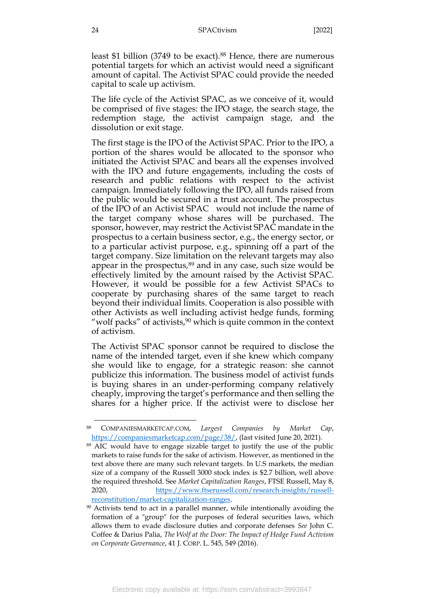least \$1 billion (3749 to be exact).<sup>88</sup> Hence, there are numerous potential targets for which an activist would need a significant amount of capital. The Activist SPAC could provide the needed capital to scale up activism.

The life cycle of the Activist SPAC, as we conceive of it, would be comprised of five stages: the IPO stage, the search stage, the redemption stage, the activist campaign stage, and the dissolution or exit stage.

The first stage is the IPO of the Activist SPAC. Prior to the IPO, a portion of the shares would be allocated to the sponsor who initiated the Activist SPAC and bears all the expenses involved with the IPO and future engagements, including the costs of research and public relations with respect to the activist campaign. Immediately following the IPO, all funds raised from the public would be secured in a trust account. The prospectus of the IPO of an Activist SPAC would not include the name of the target company whose shares will be purchased. The sponsor, however, may restrict the Activist SPAC mandate in the prospectus to a certain business sector, e.g., the energy sector, or to a particular activist purpose, e.g., spinning off a part of the target company. Size limitation on the relevant targets may also appear in the prospectus, $89$  and in any case, such size would be effectively limited by the amount raised by the Activist SPAC. However, it would be possible for a few Activist SPACs to cooperate by purchasing shares of the same target to reach beyond their individual limits. Cooperation is also possible with other Activists as well including activist hedge funds, forming "wolf packs" of activists, $90$  which is quite common in the context of activism.

The Activist SPAC sponsor cannot be required to disclose the name of the intended target, even if she knew which company she would like to engage, for a strategic reason: she cannot publicize this information. The business model of activist funds is buying shares in an under-performing company relatively cheaply, improving the target's performance and then selling the shares for a higher price. If the activist were to disclose her

<sup>88</sup> COMPANIESMARKETCAP.COM, *Largest Companies by Market Cap*, [https://companiesmarketcap.com/page/38/,](https://companiesmarketcap.com/page/38/) (last visited June 20, 2021).

<sup>&</sup>lt;sup>89</sup> AIC would have to engage sizable target to justify the use of the public markets to raise funds for the sake of activism. However, as mentioned in the text above there are many such relevant targets. In U.S markets, the median size of a company of the Russell 3000 stock index is \$2.7 billion, well above the required threshold. See *Market Capitalization Ranges*, FTSE Russell, May 8, 2020, [https://www.ftserussell.com/research-insights/russell](https://www.ftserussell.com/research-insights/russell-reconstitution/market-capitalization-ranges)[reconstitution/market-capitalization-ranges.](https://www.ftserussell.com/research-insights/russell-reconstitution/market-capitalization-ranges)

<sup>&</sup>lt;sup>90</sup> Activists tend to act in a parallel manner, while intentionally avoiding the formation of a "group" for the purposes of federal securities laws, which allows them to evade disclosure duties and corporate defenses *See* John C. Coffee & Darius Palia, *The Wolf at the Door: The Impact of Hedge Fund Activism on Corporate Governance*, 41 J. CORP. L. 545, 549 (2016).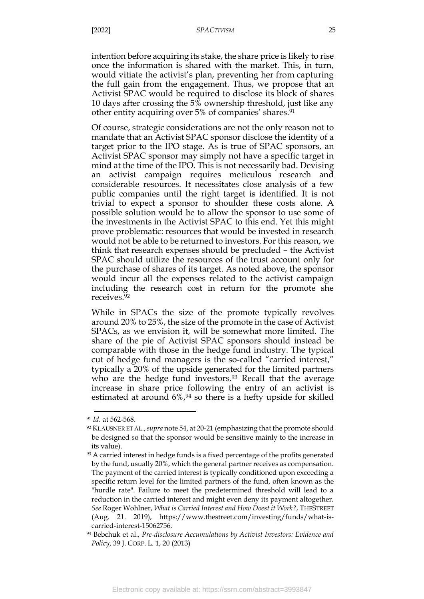intention before acquiring its stake, the share price is likely to rise once the information is shared with the market. This, in turn, would vitiate the activist's plan, preventing her from capturing the full gain from the engagement. Thus, we propose that an Activist SPAC would be required to disclose its block of shares 10 days after crossing the 5% ownership threshold, just like any other entity acquiring over 5% of companies' shares.<sup>91</sup>

Of course, strategic considerations are not the only reason not to mandate that an Activist SPAC sponsor disclose the identity of a target prior to the IPO stage. As is true of SPAC sponsors, an Activist SPAC sponsor may simply not have a specific target in mind at the time of the IPO. This is not necessarily bad. Devising an activist campaign requires meticulous research and considerable resources. It necessitates close analysis of a few public companies until the right target is identified. It is not trivial to expect a sponsor to shoulder these costs alone. A possible solution would be to allow the sponsor to use some of the investments in the Activist SPAC to this end. Yet this might prove problematic: resources that would be invested in research would not be able to be returned to investors. For this reason, we think that research expenses should be precluded – the Activist SPAC should utilize the resources of the trust account only for the purchase of shares of its target. As noted above, the sponsor would incur all the expenses related to the activist campaign including the research cost in return for the promote she receives.<sup>92</sup>

While in SPACs the size of the promote typically revolves around 20% to 25%, the size of the promote in the case of Activist SPACs, as we envision it, will be somewhat more limited. The share of the pie of Activist SPAC sponsors should instead be comparable with those in the hedge fund industry. The typical cut of hedge fund managers is the so-called "carried interest," typically a 20% of the upside generated for the limited partners who are the hedge fund investors.<sup>93</sup> Recall that the average increase in share price following the entry of an activist is estimated at around  $6\frac{9}{4}$  so there is a hefty upside for skilled

<sup>91</sup> *Id*. at 562-568.

<sup>92</sup> KLAUSNER ET AL.,*supra* note [54,](#page-17-0) at 20-21 (emphasizing that the promote should be designed so that the sponsor would be sensitive mainly to the increase in its value).

<sup>&</sup>lt;sup>93</sup> A carried interest in hedge funds is a fixed percentage of the profits generated by the fund, usually 20%, which the general partner receives as compensation. The payment of the carried interest is typically conditioned upon exceeding a specific return level for the limited partners of the fund, often known as the "hurdle rate". Failure to meet the predetermined threshold will lead to a reduction in the carried interest and might even deny its payment altogether. *See* Roger Wohlner, *What is Carried Interest and How Doest it Work?*, THESTREET (Aug. 21. 2019), https://www.thestreet.com/investing/funds/what-iscarried-interest-15062756.

<sup>94</sup> Bebchuk et al., *Pre-disclosure Accumulations by Activist Investors: Evidence and Policy*, 39 J. CORP. L. 1, 20 (2013)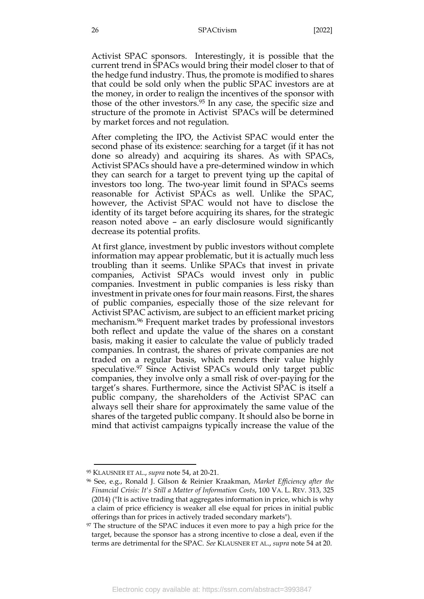Activist SPAC sponsors. Interestingly, it is possible that the current trend in SPACs would bring their model closer to that of the hedge fund industry. Thus, the promote is modified to shares that could be sold only when the public SPAC investors are at the money, in order to realign the incentives of the sponsor with those of the other investors.<sup>95</sup> In any case, the specific size and structure of the promote in Activist SPACs will be determined by market forces and not regulation.

After completing the IPO, the Activist SPAC would enter the second phase of its existence: searching for a target (if it has not done so already) and acquiring its shares. As with SPACs, Activist SPACs should have a pre-determined window in which they can search for a target to prevent tying up the capital of investors too long. The two-year limit found in SPACs seems reasonable for Activist SPACs as well. Unlike the SPAC, however, the Activist SPAC would not have to disclose the identity of its target before acquiring its shares, for the strategic reason noted above – an early disclosure would significantly decrease its potential profits.

At first glance, investment by public investors without complete information may appear problematic, but it is actually much less troubling than it seems. Unlike SPACs that invest in private companies, Activist SPACs would invest only in public companies. Investment in public companies is less risky than investment in private ones for four main reasons. First, the shares of public companies, especially those of the size relevant for Activist SPAC activism, are subject to an efficient market pricing mechanism. <sup>96</sup> Frequent market trades by professional investors both reflect and update the value of the shares on a constant basis, making it easier to calculate the value of publicly traded companies. In contrast, the shares of private companies are not traded on a regular basis, which renders their value highly speculative.<sup>97</sup> Since Activist SPACs would only target public companies, they involve only a small risk of over-paying for the target's shares. Furthermore, since the Activist SPAC is itself a public company, the shareholders of the Activist SPAC can always sell their share for approximately the same value of the shares of the targeted public company. It should also be borne in mind that activist campaigns typically increase the value of the

<sup>95</sup> KLAUSNER ET AL., *supra* note [54,](#page-17-0) at 20-21.

<sup>96</sup> See, e.g., Ronald J. Gilson & Reinier Kraakman, *Market Efficiency after the Financial Crisis: It's Still a Matter of Information Costs*, 100 VA. L. REV. 313, 325 (2014) ("It is active trading that aggregates information in price, which is why a claim of price efficiency is weaker all else equal for prices in initial public offerings than for prices in actively traded secondary markets").

<sup>97</sup> The structure of the SPAC induces it even more to pay a high price for the target, because the sponsor has a strong incentive to close a deal, even if the terms are detrimental for the SPAC. *See* KLAUSNER ET AL., *supra* note [54](#page-17-0) at 20.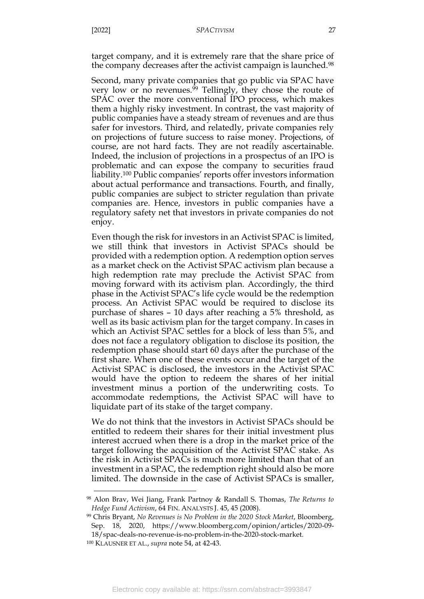target company, and it is extremely rare that the share price of the company decreases after the activist campaign is launched. 98

Second, many private companies that go public via SPAC have very low or no revenues. <sup>99</sup> Tellingly, they chose the route of SPAC over the more conventional IPO process, which makes them a highly risky investment. In contrast, the vast majority of public companies have a steady stream of revenues and are thus safer for investors. Third, and relatedly, private companies rely on projections of future success to raise money. Projections, of course, are not hard facts. They are not readily ascertainable. Indeed, the inclusion of projections in a prospectus of an IPO is problematic and can expose the company to securities fraud liability.<sup>100</sup> Public companies' reports offer investors information about actual performance and transactions. Fourth, and finally, public companies are subject to stricter regulation than private companies are. Hence, investors in public companies have a regulatory safety net that investors in private companies do not enjoy.

Even though the risk for investors in an Activist SPAC is limited, we still think that investors in Activist SPACs should be provided with a redemption option. A redemption option serves as a market check on the Activist SPAC activism plan because a high redemption rate may preclude the Activist SPAC from moving forward with its activism plan. Accordingly, the third phase in the Activist SPAC's life cycle would be the redemption process. An Activist SPAC would be required to disclose its purchase of shares – 10 days after reaching a 5% threshold, as well as its basic activism plan for the target company. In cases in which an Activist SPAC settles for a block of less than 5%, and does not face a regulatory obligation to disclose its position, the redemption phase should start 60 days after the purchase of the first share. When one of these events occur and the target of the Activist SPAC is disclosed, the investors in the Activist SPAC would have the option to redeem the shares of her initial investment minus a portion of the underwriting costs. To accommodate redemptions, the Activist SPAC will have to liquidate part of its stake of the target company.

We do not think that the investors in Activist SPACs should be entitled to redeem their shares for their initial investment plus interest accrued when there is a drop in the market price of the target following the acquisition of the Activist SPAC stake. As the risk in Activist SPACs is much more limited than that of an investment in a SPAC, the redemption right should also be more limited. The downside in the case of Activist SPACs is smaller,

<sup>98</sup> Alon Brav, Wei Jiang, Frank Partnoy & Randall S. Thomas, *The Returns to Hedge Fund Activism*, 64 FIN. ANALYSTS J. 45, 45 (2008).

<sup>99</sup> Chris Bryant, *No Revenues is No Problem in the 2020 Stock Market*, Bloomberg, Sep. 18, 2020, https://www.bloomberg.com/opinion/articles/2020-09- 18/spac-deals-no-revenue-is-no-problem-in-the-2020-stock-market.

<sup>100</sup> KLAUSNER ET AL., *supra* note [54,](#page-17-0) at 42-43.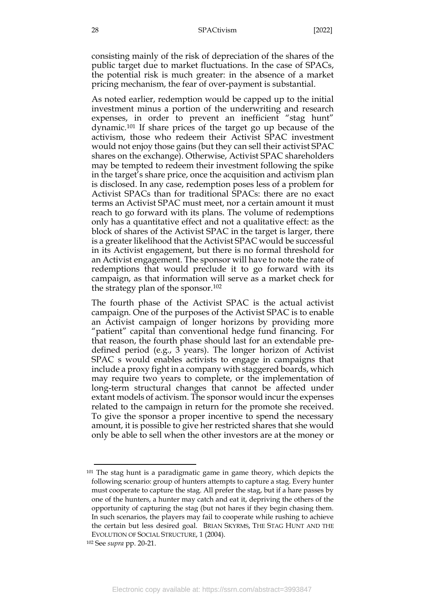consisting mainly of the risk of depreciation of the shares of the public target due to market fluctuations. In the case of SPACs, the potential risk is much greater: in the absence of a market pricing mechanism, the fear of over-payment is substantial.

<span id="page-28-0"></span>As noted earlier, redemption would be capped up to the initial investment minus a portion of the underwriting and research expenses, in order to prevent an inefficient "stag hunt" dynamic.<sup>101</sup> If share prices of the target go up because of the activism, those who redeem their Activist SPAC investment would not enjoy those gains (but they can sell their activist SPAC shares on the exchange). Otherwise, Activist SPAC shareholders may be tempted to redeem their investment following the spike in the target's share price, once the acquisition and activism plan is disclosed. In any case, redemption poses less of a problem for Activist SPACs than for traditional SPACs: there are no exact terms an Activist SPAC must meet, nor a certain amount it must reach to go forward with its plans. The volume of redemptions only has a quantitative effect and not a qualitative effect: as the block of shares of the Activist SPAC in the target is larger, there is a greater likelihood that the Activist SPAC would be successful in its Activist engagement, but there is no formal threshold for an Activist engagement. The sponsor will have to note the rate of redemptions that would preclude it to go forward with its campaign, as that information will serve as a market check for the strategy plan of the sponsor.<sup>102</sup>

The fourth phase of the Activist SPAC is the actual activist campaign. One of the purposes of the Activist SPAC is to enable an Activist campaign of longer horizons by providing more "patient" capital than conventional hedge fund financing. For that reason, the fourth phase should last for an extendable predefined period (e.g., 3 years). The longer horizon of Activist SPAC s would enables activists to engage in campaigns that include a proxy fight in a company with staggered boards, which may require two years to complete, or the implementation of long-term structural changes that cannot be affected under extant models of activism. The sponsor would incur the expenses related to the campaign in return for the promote she received. To give the sponsor a proper incentive to spend the necessary amount, it is possible to give her restricted shares that she would only be able to sell when the other investors are at the money or

<sup>&</sup>lt;sup>101</sup> The stag hunt is a paradigmatic game in game theory, which depicts the following scenario: group of hunters attempts to capture a stag. Every hunter must cooperate to capture the stag. All prefer the stag, but if a hare passes by one of the hunters, a hunter may catch and eat it, depriving the others of the opportunity of capturing the stag (but not hares if they begin chasing them. In such scenarios, the players may fail to cooperate while rushing to achieve the certain but less desired goal. BRIAN SKYRMS, THE STAG HUNT AND THE EVOLUTION OF SOCIAL STRUCTURE, 1 (2004).

<sup>102</sup> See *supra* pp. 20-21.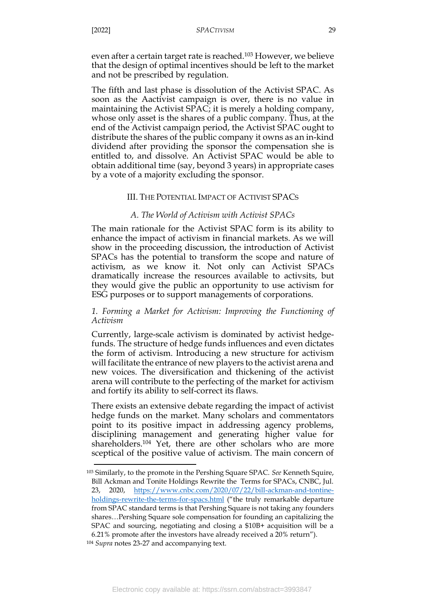even after a certain target rate is reached. <sup>103</sup> However, we believe that the design of optimal incentives should be left to the market and not be prescribed by regulation.

The fifth and last phase is dissolution of the Activist SPAC. As soon as the Aactivist campaign is over, there is no value in maintaining the Activist SPAC; it is merely a holding company, whose only asset is the shares of a public company. Thus, at the end of the Activist campaign period, the Activist SPAC ought to distribute the shares of the public company it owns as an in-kind dividend after providing the sponsor the compensation she is entitled to, and dissolve. An Activist SPAC would be able to obtain additional time (say, beyond 3 years) in appropriate cases by a vote of a majority excluding the sponsor.

### III. THE POTENTIAL IMPACT OF ACTIVIST SPACS

### *A. The World of Activism with Activist SPACs*

<span id="page-29-1"></span><span id="page-29-0"></span>The main rationale for the Activist SPAC form is its ability to enhance the impact of activism in financial markets. As we will show in the proceeding discussion, the introduction of Activist SPACs has the potential to transform the scope and nature of activism, as we know it. Not only can Activist SPACs dramatically increase the resources available to activsits, but they would give the public an opportunity to use activism for ESG purposes or to support managements of corporations.

## <span id="page-29-2"></span>*1. Forming a Market for Activism: Improving the Functioning of Activism*

Currently, large-scale activism is dominated by activist hedgefunds. The structure of hedge funds influences and even dictates the form of activism. Introducing a new structure for activism will facilitate the entrance of new players to the activist arena and new voices. The diversification and thickening of the activist arena will contribute to the perfecting of the market for activism and fortify its ability to self-correct its flaws.

There exists an extensive debate regarding the impact of activist hedge funds on the market. Many scholars and commentators point to its positive impact in addressing agency problems, disciplining management and generating higher value for shareholders.<sup>104</sup> Yet, there are other scholars who are more sceptical of the positive value of activism. The main concern of

<sup>103</sup> Similarly, to the promote in the Pershing Square SPAC. *See* Kenneth Squire, Bill Ackman and Tonite Holdings Rewrite the Terms for SPACs, CNBC, Jul. 23, 2020, [https://www.cnbc.com/2020/07/22/bill-ackman-and-tontine](https://www.cnbc.com/2020/07/22/bill-ackman-and-tontine-holdings-rewrite-the-terms-for-spacs.html)[holdings-rewrite-the-terms-for-spacs.html](https://www.cnbc.com/2020/07/22/bill-ackman-and-tontine-holdings-rewrite-the-terms-for-spacs.html) ("the truly remarkable departure from SPAC standard terms is that Pershing Square is not taking any founders shares…Pershing Square sole compensation for founding an capitalizing the SPAC and sourcing, negotiating and closing a \$10B+ acquisition will be a 6.21% promote after the investors have already received a 20% return").

<sup>104</sup> *Supra* notes [23](#page-10-1)[-27](#page-10-2) and accompanying text.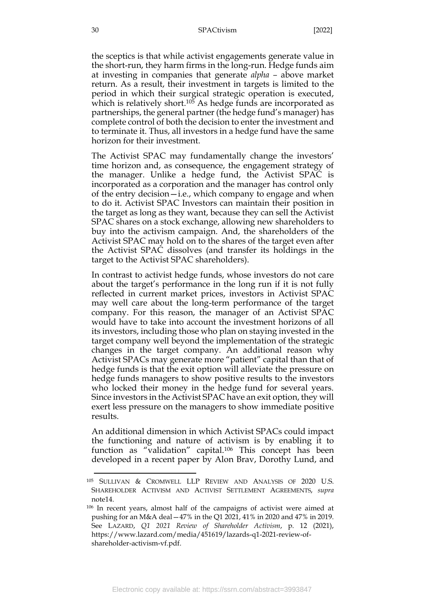the sceptics is that while activist engagements generate value in the short-run, they harm firms in the long-run. Hedge funds aim at investing in companies that generate *alpha –* above market return. As a result, their investment in targets is limited to the period in which their surgical strategic operation is executed, which is relatively short.<sup>105</sup> As hedge funds are incorporated as partnerships, the general partner (the hedge fund's manager) has complete control of both the decision to enter the investment and to terminate it. Thus, all investors in a hedge fund have the same horizon for their investment.

The Activist SPAC may fundamentally change the investors' time horizon and, as consequence, the engagement strategy of the manager. Unlike a hedge fund, the Activist SPAC is incorporated as a corporation and the manager has control only of the entry decision—i.e., which company to engage and when to do it. Activist SPAC Investors can maintain their position in the target as long as they want, because they can sell the Activist SPAC shares on a stock exchange, allowing new shareholders to buy into the activism campaign. And, the shareholders of the Activist SPAC may hold on to the shares of the target even after the Activist SPAC dissolves (and transfer its holdings in the target to the Activist SPAC shareholders).

In contrast to activist hedge funds, whose investors do not care about the target's performance in the long run if it is not fully reflected in current market prices, investors in Activist SPAC may well care about the long-term performance of the target company. For this reason, the manager of an Activist SPAC would have to take into account the investment horizons of all its investors, including those who plan on staying invested in the target company well beyond the implementation of the strategic changes in the target company. An additional reason why Activist SPACs may generate more "patient" capital than that of hedge funds is that the exit option will alleviate the pressure on hedge funds managers to show positive results to the investors who locked their money in the hedge fund for several years. Since investors in the Activist SPAC have an exit option, they will exert less pressure on the managers to show immediate positive results.

An additional dimension in which Activist SPACs could impact the functioning and nature of activism is by enabling it to function as "validation" capital. <sup>106</sup> This concept has been developed in a recent paper by Alon Brav, Dorothy Lund, and

<sup>105</sup> SULLIVAN & CROMWELL LLP REVIEW AND ANALYSIS OF 2020 U.S. SHAREHOLDER ACTIVISM AND ACTIVIST SETTLEMENT AGREEMENTS, *supra* not[e14.](#page-7-0)

<sup>106</sup> In recent years, almost half of the campaigns of activist were aimed at pushing for an M&A deal—47% in the Q1 2021, 41% in 2020 and 47% in 2019. See LAZARD, *Q1 2021 Review of Shareholder Activism*, p. 12 (2021), https://www.lazard.com/media/451619/lazards-q1-2021-review-ofshareholder-activism-vf.pdf.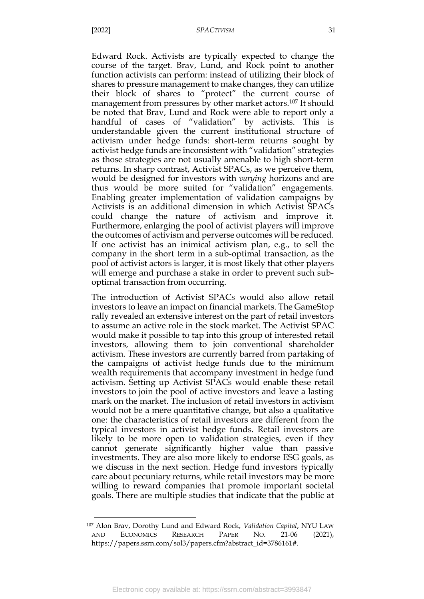#### [2022] *SPACTIVISM* 31

Edward Rock. Activists are typically expected to change the course of the target. Brav, Lund, and Rock point to another function activists can perform: instead of utilizing their block of shares to pressure management to make changes, they can utilize their block of shares to "protect" the current course of management from pressures by other market actors.<sup>107</sup> It should be noted that Brav, Lund and Rock were able to report only a handful of cases of "validation" by activists. This is understandable given the current institutional structure of activism under hedge funds: short-term returns sought by activist hedge funds are inconsistent with "validation" strategies as those strategies are not usually amenable to high short-term returns. In sharp contrast, Activist SPACs, as we perceive them, would be designed for investors with *varying* horizons and are thus would be more suited for "validation" engagements. Enabling greater implementation of validation campaigns by Activists is an additional dimension in which Activist SPACs could change the nature of activism and improve it. Furthermore, enlarging the pool of activist players will improve the outcomes of activism and perverse outcomes will be reduced. If one activist has an inimical activism plan, e.g., to sell the company in the short term in a sub-optimal transaction, as the pool of activist actors is larger, it is most likely that other players will emerge and purchase a stake in order to prevent such suboptimal transaction from occurring.

The introduction of Activist SPACs would also allow retail investors to leave an impact on financial markets. The GameStop rally revealed an extensive interest on the part of retail investors to assume an active role in the stock market. The Activist SPAC would make it possible to tap into this group of interested retail investors, allowing them to join conventional shareholder activism. These investors are currently barred from partaking of the campaigns of activist hedge funds due to the minimum wealth requirements that accompany investment in hedge fund activism. Setting up Activist SPACs would enable these retail investors to join the pool of active investors and leave a lasting mark on the market. The inclusion of retail investors in activism would not be a mere quantitative change, but also a qualitative one: the characteristics of retail investors are different from the typical investors in activist hedge funds. Retail investors are likely to be more open to validation strategies, even if they cannot generate significantly higher value than passive investments. They are also more likely to endorse ESG goals, as we discuss in the next section. Hedge fund investors typically care about pecuniary returns, while retail investors may be more willing to reward companies that promote important societal goals. There are multiple studies that indicate that the public at

<sup>107</sup> Alon Brav, Dorothy Lund and Edward Rock, *Validation Capital*, [NYU](https://papers.ssrn.com/sol3/papers.cfm?abstract_id=3786161) LAW AND E[CONOMICS](https://papers.ssrn.com/sol3/papers.cfm?abstract_id=3786161) RESEARCH PAPER NO. 21-06 (2021), https://papers.ssrn.com/sol3/papers.cfm?abstract\_id=3786161#.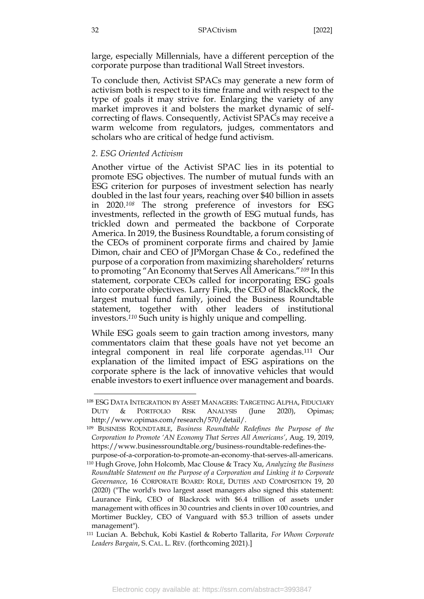large, especially Millennials, have a different perception of the corporate purpose than traditional Wall Street investors.

To conclude then, Activist SPACs may generate a new form of activism both is respect to its time frame and with respect to the type of goals it may strive for. Enlarging the variety of any market improves it and bolsters the market dynamic of selfcorrecting of flaws. Consequently, Activist SPACs may receive a warm welcome from regulators, judges, commentators and scholars who are critical of hedge fund activism.

#### <span id="page-32-0"></span>*2. ESG Oriented Activism*

management").

Another virtue of the Activist SPAC lies in its potential to promote ESG objectives. The number of mutual funds with an ESG criterion for purposes of investment selection has nearly doubled in the last four years, reaching over \$40 billion in assets in 2020.*<sup>108</sup>* The strong preference of investors for ESG investments, reflected in the growth of ESG mutual funds, has trickled down and permeated the backbone of Corporate America. In 2019, the Business Roundtable, a forum consisting of the CEOs of prominent corporate firms and chaired by Jamie Dimon, chair and CEO of JPMorgan Chase & Co., redefined the purpose of a corporation from maximizing shareholders' returns to promoting "An Economy that Serves All Americans."*<sup>109</sup>* In this statement, corporate CEOs called for incorporating ESG goals into corporate objectives. Larry Fink, the CEO of BlackRock, the largest mutual fund family, joined the Business Roundtable statement, together with other leaders of institutional investors.*<sup>110</sup>* Such unity is highly unique and compelling.

While ESG goals seem to gain traction among investors, many commentators claim that these goals have not yet become an integral component in real life corporate agendas.<sup>111</sup> Our explanation of the limited impact of ESG aspirations on the corporate sphere is the lack of innovative vehicles that would enable investors to exert influence over management and boards.

<sup>108</sup> ESG DATA INTEGRATION BY ASSET MANAGERS: TARGETING ALPHA, FIDUCIARY DUTY & PORTFOLIO RISK ANALYSIS (June 2020), Opimas; http://www.opimas.com/research/570/detail/.

<sup>109</sup> BUSINESS ROUNDTABLE, *Business Roundtable Redefines the Purpose of the Corporation to Promote 'AN Economy That Serves All Americans'*, Aug. 19, 2019, https://www.businessroundtable.org/business-roundtable-redefines-the-

purpose-of-a-corporation-to-promote-an-economy-that-serves-all-americans. <sup>110</sup> Hugh Grove, John Holcomb, Mac Clouse & Tracy Xu, *Analyzing the Business Roundtable Statement on the Purpose of a Corporation and Linking it to Corporate Governance*, 16 CORPORATE BOARD: ROLE, DUTIES AND COMPOSITION 19, 20 (2020) ("The world's two largest asset managers also signed this statement: Laurance Fink, CEO of Blackrock with \$6.4 trillion of assets under management with offices in 30 countries and clients in over 100 countries, and Mortimer Buckley, CEO of Vanguard with \$5.3 trillion of assets under

<sup>111</sup> Lucian A. Bebchuk, Kobi Kastiel & Roberto Tallarita, *For Whom Corporate Leaders Bargain*, S. CAL. L. REV. (forthcoming 2021).]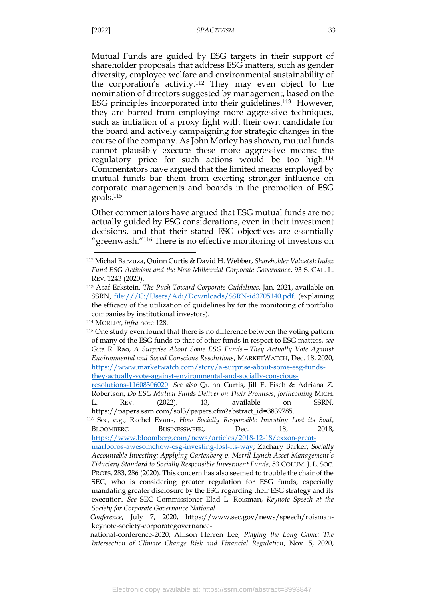#### [2022] *SPACTIVISM* 33

Mutual Funds are guided by ESG targets in their support of shareholder proposals that address ESG matters, such as gender diversity, employee welfare and environmental sustainability of the corporation's activity.<sup>112</sup> They may even object to the nomination of directors suggested by management, based on the ESG principles incorporated into their guidelines.<sup>113</sup> However, they are barred from employing more aggressive techniques, such as initiation of a proxy fight with their own candidate for the board and actively campaigning for strategic changes in the course of the company. As John Morley has shown, mutual funds cannot plausibly execute these more aggressive means: the regulatory price for such actions would be too high.<sup>114</sup> Commentators have argued that the limited means employed by mutual funds bar them from exerting stronger influence on corporate managements and boards in the promotion of ESG goals.<sup>115</sup>

<span id="page-33-0"></span>Other commentators have argued that ESG mutual funds are not actually guided by ESG considerations, even in their investment decisions, and that their stated ESG objectives are essentially "greenwash."<sup>116</sup> There is no effective monitoring of investors on

<sup>112</sup> Michal Barzuza, Quinn Curtis & David H. Webber, *Shareholder Value(s): Index Fund ESG Activism and the New Millennial Corporate Governance*, 93 S. CAL. L. REV. 1243 (2020).

<sup>113</sup> Asaf Eckstein, *The Push Toward Corporate Guidelines*, Jan. 2021, available on SSRN, [file:///C:/Users/Adi/Downloads/SSRN-id3705140.pdf.](file:///C:/Users/Adi/Downloads/SSRN-id3705140.pdf) (explaining the efficacy of the utilization of guidelines by for the monitoring of portfolio companies by institutional investors).

<sup>114</sup> MORLEY, *infra* note [128.](#page-39-0)

<sup>&</sup>lt;sup>115</sup> One study even found that there is no difference between the voting pattern of many of the ESG funds to that of other funds in respect to ESG matters, *see*  Gita R. Rao, *A Surprise About Some ESG Funds—They Actually Vote Against Environmental and Social Conscious Resolutions*, MARKETWATCH, Dec. 18, 2020, [https://www.marketwatch.com/story/a-surprise-about-some-esg-funds](https://www.marketwatch.com/story/a-surprise-about-some-esg-funds-they-actually-vote-against-environmental-and-socially-conscious-resolutions-11608306020)[they-actually-vote-against-environmental-and-socially-conscious-](https://www.marketwatch.com/story/a-surprise-about-some-esg-funds-they-actually-vote-against-environmental-and-socially-conscious-resolutions-11608306020)

[resolutions-11608306020.](https://www.marketwatch.com/story/a-surprise-about-some-esg-funds-they-actually-vote-against-environmental-and-socially-conscious-resolutions-11608306020) *See also* Quinn Curtis, Jill E. Fisch & Adriana Z. Robertson, *Do ESG Mutual Funds Deliver on Their Promises*, *forthcoming* MICH. L. REV. (2022), 13, available on SSRN, https://papers.ssrn.com/sol3/papers.cfm?abstract\_id=3839785.

<sup>116</sup> See, e.g., Rachel Evans, *How Socially Responsible Investing Lost its Soul*, BLOOMBERG BUSINESSWEEK, Dec. 18, 2018, [https://www.bloomberg.com/news/articles/2018-12-18/exxon-great-](https://www.bloomberg.com/news/articles/2018-12-18/exxon-great-marlboros-awesomehow-esg-investing-lost-its-way)

[marlboros-awesomehow-esg-investing-lost-its-way;](https://www.bloomberg.com/news/articles/2018-12-18/exxon-great-marlboros-awesomehow-esg-investing-lost-its-way) Zachary Barker, *Socially Accountable Investing: Applying Gartenberg v. Merril Lynch Asset Management's Fiduciary Standard to Socially Responsible Investment Funds*, 53 COLUM. J. L. SOC. PROBS. 283, 286 (2020). This concern has also seemed to trouble the chair of the SEC, who is considering greater regulation for ESG funds, especially mandating greater disclosure by the ESG regarding their ESG strategy and its execution. *See* SEC Commissioner Elad L. Roisman, *Keynote Speech at the Society for Corporate Governance National*

*Conference*, July 7, 2020, https://www.sec.gov/news/speech/roismankeynote-society-corporategovernance-

national-conference-2020; Allison Herren Lee, *Playing the Long Game: The Intersection of Climate Change Risk and Financial Regulation*, Nov. 5, 2020,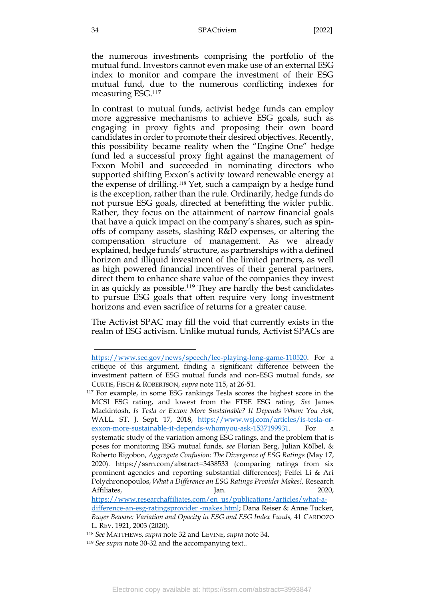the numerous investments comprising the portfolio of the mutual fund. Investors cannot even make use of an external ESG index to monitor and compare the investment of their ESG mutual fund, due to the numerous conflicting indexes for measuring ESG.<sup>117</sup>

In contrast to mutual funds, activist hedge funds can employ more aggressive mechanisms to achieve ESG goals, such as engaging in proxy fights and proposing their own board candidates in order to promote their desired objectives. Recently, this possibility became reality when the "Engine One" hedge fund led a successful proxy fight against the management of Exxon Mobil and succeeded in nominating directors who supported shifting Exxon's activity toward renewable energy at the expense of drilling.<sup>118</sup> Yet, such a campaign by a hedge fund is the exception, rather than the rule. Ordinarily, hedge funds do not pursue ESG goals, directed at benefitting the wider public. Rather, they focus on the attainment of narrow financial goals that have a quick impact on the company's shares, such as spinoffs of company assets, slashing R&D expenses, or altering the compensation structure of management. As we already explained, hedge funds' structure, as partnerships with a defined horizon and illiquid investment of the limited partners, as well as high powered financial incentives of their general partners, direct them to enhance share value of the companies they invest in as quickly as possible.<sup>119</sup> They are hardly the best candidates to pursue ESG goals that often require very long investment horizons and even sacrifice of returns for a greater cause.

The Activist SPAC may fill the void that currently exists in the realm of ESG activism. Unlike mutual funds, Activist SPACs are

[https://www.sec.gov/news/speech/lee-playing-long-game-110520.](https://www.sec.gov/news/speech/lee-playing-long-game-110520) For a critique of this argument, finding a significant difference between the investment pattern of ESG mutual funds and non-ESG mutual funds, *see*  CURTIS, FISCH & ROBERTSON, *supra* note [115,](#page-33-0) at 26-51.

<sup>117</sup> For example, in some ESG rankings Tesla scores the highest score in the MCSI ESG rating, and lowest from the FTSE ESG rating. *See* James Mackintosh, *Is Tesla or Exxon More Sustainable? It Depends Whom You Ask*, WALL. ST. J. Sept. 17, 2018, [https://www.wsj.com/articles/is-tesla-or](https://www.wsj.com/articles/is-tesla-or-exxon-more-sustainable-it-depends-whomyou-ask-1537199931)[exxon-more-sustainable-it-depends-whomyou-ask-1537199931.](https://www.wsj.com/articles/is-tesla-or-exxon-more-sustainable-it-depends-whomyou-ask-1537199931) For systematic study of the variation among ESG ratings, and the problem that is poses for monitoring ESG mutual funds, *see* Florian Berg, Julian Kölbel, & Roberto Rigobon, *Aggregate Confusion: The Divergence of ESG Ratings* (May 17, 2020). https://ssrn.com/abstract=3438533 (comparing ratings from six prominent agencies and reporting substantial differences); Feifei Li & Ari Polychronopoulos, *What a Difference an ESG Ratings Provider Makes!,* Research Affiliates, Jan. Jan. 2020,

[https://www.researchaffiliates.com/en\\_us/publications/articles/what-a](https://www.researchaffiliates.com/en_us/publications/articles/what-a-difference-an-esg-ratingsprovider%20-makes.html)[difference-an-esg-ratingsprovider](https://www.researchaffiliates.com/en_us/publications/articles/what-a-difference-an-esg-ratingsprovider%20-makes.html) -makes.html; Dana Reiser & Anne Tucker, *Buyer Beware: Variation and Opacity in ESG and ESG Index Funds,* 41 CARDOZO L. REV. 1921, 2003 (2020).

<sup>118</sup> *See* MATTHEWS, *supra* note [32](#page-11-0) and LEVINE, *supra* note [34.](#page-12-0)

<sup>119</sup> *See supra* note [30-](#page-11-1)[32](#page-11-0) and the accompanying text..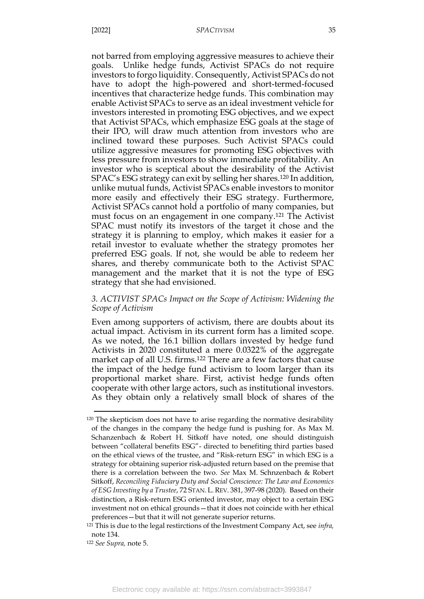not barred from employing aggressive measures to achieve their goals. Unlike hedge funds, Activist SPACs do not require investors to forgo liquidity. Consequently, Activist SPACs do not have to adopt the high-powered and short-termed-focused incentives that characterize hedge funds. This combination may enable Activist SPACs to serve as an ideal investment vehicle for investors interested in promoting ESG objectives, and we expect that Activist SPACs, which emphasize ESG goals at the stage of their IPO, will draw much attention from investors who are inclined toward these purposes. Such Activist SPACs could utilize aggressive measures for promoting ESG objectives with less pressure from investors to show immediate profitability. An investor who is sceptical about the desirability of the Activist SPAC's ESG strategy can exit by selling her shares.<sup>120</sup> In addition, unlike mutual funds, Activist SPACs enable investors to monitor more easily and effectively their ESG strategy. Furthermore, Activist SPACs cannot hold a portfolio of many companies, but must focus on an engagement in one company.<sup>121</sup> The Activist SPAC must notify its investors of the target it chose and the strategy it is planning to employ, which makes it easier for a retail investor to evaluate whether the strategy promotes her preferred ESG goals. If not, she would be able to redeem her shares, and thereby communicate both to the Activist SPAC management and the market that it is not the type of ESG strategy that she had envisioned.

## <span id="page-35-0"></span>*3. ACTIVIST SPACs Impact on the Scope of Activism: Widening the Scope of Activism*

Even among supporters of activism, there are doubts about its actual impact. Activism in its current form has a limited scope. As we noted, the 16.1 billion dollars invested by hedge fund Activists in 2020 constituted a mere 0.0322% of the aggregate market cap of all U.S. firms.<sup>122</sup> There are a few factors that cause the impact of the hedge fund activism to loom larger than its proportional market share. First, activist hedge funds often cooperate with other large actors, such as institutional investors. As they obtain only a relatively small block of shares of the

<sup>120</sup> The skepticism does not have to arise regarding the normative desirability of the changes in the company the hedge fund is pushing for. As Max M. Schanzenbach & Robert H. Sitkoff have noted, one should distinguish between "collateral benefits ESG"- directed to benefiting third parties based on the ethical views of the trustee, and "Risk-return ESG" in which ESG is a strategy for obtaining superior risk-adjusted return based on the premise that there is a correlation between the two. *See* Max M. Schnzenbach & Robert Sitkoff, *Reconciling Fiduciary Duty and Social Conscience: The Law and Economics of ESG Investing by a Trustee*, 72 STAN. L.REV. 381, 397-98 (2020). Based on their distinction, a Risk-return ESG oriented investor, may object to a certain ESG investment not on ethical grounds—that it does not coincide with her ethical preferences—but that it will not generate superior returns.

<sup>121</sup> This is due to the legal restirctions of the Investment Company Act, see *infra,*  note [134.](#page-41-1)

<sup>122</sup> *See Supra,* note [5.](#page-3-0)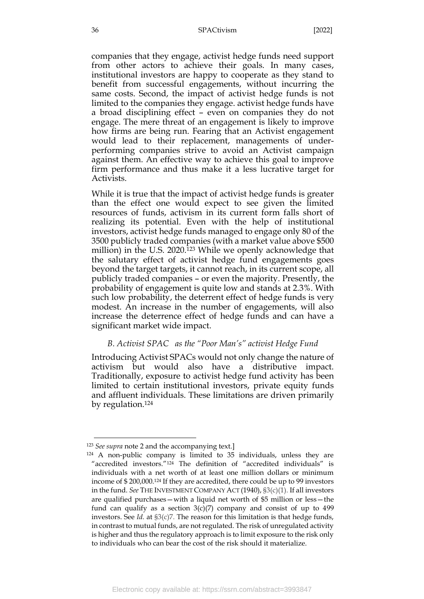companies that they engage, activist hedge funds need support from other actors to achieve their goals. In many cases, institutional investors are happy to cooperate as they stand to benefit from successful engagements, without incurring the same costs. Second, the impact of activist hedge funds is not limited to the companies they engage. activist hedge funds have a broad disciplining effect – even on companies they do not engage. The mere threat of an engagement is likely to improve how firms are being run. Fearing that an Activist engagement would lead to their replacement, managements of underperforming companies strive to avoid an Activist campaign against them. An effective way to achieve this goal to improve firm performance and thus make it a less lucrative target for Activists.

While it is true that the impact of activist hedge funds is greater than the effect one would expect to see given the limited resources of funds, activism in its current form falls short of realizing its potential. Even with the help of institutional investors, activist hedge funds managed to engage only 80 of the 3500 publicly traded companies (with a market value above \$500 million) in the U.S. 2020.<sup>123</sup> While we openly acknowledge that the salutary effect of activist hedge fund engagements goes beyond the target targets, it cannot reach, in its current scope, all publicly traded companies – or even the majority. Presently, the probability of engagement is quite low and stands at 2.3%. With such low probability, the deterrent effect of hedge funds is very modest. An increase in the number of engagements, will also increase the deterrence effect of hedge funds and can have a significant market wide impact.

## *B. Activist SPAC as the "Poor Man's" activist Hedge Fund*

<span id="page-36-0"></span>Introducing Activist SPACs would not only change the nature of activism but would also have a distributive impact. Traditionally, exposure to activist hedge fund activity has been limited to certain institutional investors, private equity funds and affluent individuals. These limitations are driven primarily by regulation.<sup>124</sup>

<sup>123</sup> *See supra* note [2](#page-3-1) and the accompanying text.]

<sup>124</sup> A non-public company is limited to 35 individuals, unless they are "accredited investors."<sup>124</sup> The definition of "accredited individuals" is individuals with a net worth of at least one million dollars or minimum income of \$ 200,000.<sup>124</sup> If they are accredited, there could be up to 99 investors in the fund. *See* THE INVESTMENT COMPANY ACT (1940), §3(c)(1). If all investors are qualified purchases—with a liquid net worth of \$5 million or less—the fund can qualify as a section  $3(c)(7)$  company and consist of up to 499 investors. See *Id.* at §3(c)7. The reason for this limitation is that hedge funds, in contrast to mutual funds, are not regulated. The risk of unregulated activity is higher and thus the regulatory approach is to limit exposure to the risk only to individuals who can bear the cost of the risk should it materialize.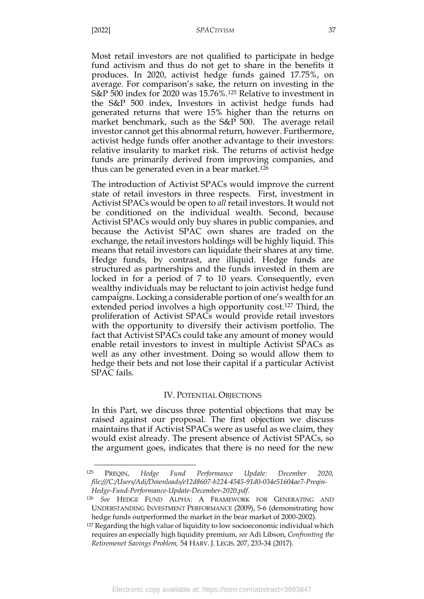Most retail investors are not qualified to participate in hedge fund activism and thus do not get to share in the benefits it produces. In 2020, activist hedge funds gained 17.75%, on average. For comparison's sake, the return on investing in the S&P 500 index for 2020 was 15.76%.<sup>125</sup> Relative to investment in the S&P 500 index, Investors in activist hedge funds had generated returns that were 15% higher than the returns on market benchmark, such as the S&P 500. The average retail investor cannot get this abnormal return, however. Furthermore, activist hedge funds offer another advantage to their investors: relative insularity to market risk. The returns of activist hedge funds are primarily derived from improving companies, and thus can be generated even in a bear market.<sup>126</sup>

The introduction of Activist SPACs would improve the current state of retail investors in three respects. First, investment in Activist SPACs would be open to *all* retail investors. It would not be conditioned on the individual wealth. Second, because Activist SPACs would only buy shares in public companies, and because the Activist SPAC own shares are traded on the exchange, the retail investors holdings will be highly liquid. This means that retail investors can liquidate their shares at any time. Hedge funds, by contrast, are illiquid. Hedge funds are structured as partnerships and the funds invested in them are locked in for a period of 7 to 10 years. Consequently, even wealthy individuals may be reluctant to join activist hedge fund campaigns. Locking a considerable portion of one's wealth for an extended period involves a high opportunity cost.<sup>127</sup> Third, the proliferation of Activist SPACs would provide retail investors with the opportunity to diversify their activism portfolio. The fact that Activist SPACs could take any amount of money would enable retail investors to invest in multiple Activist SPACs as well as any other investment. Doing so would allow them to hedge their bets and not lose their capital if a particular Activist SPAC fails.

#### IV. POTENTIAL OBJECTIONS

<span id="page-37-0"></span>In this Part, we discuss three potential objections that may be raised against our proposal. The first objection we discuss maintains that if Activist SPACs were as useful as we claim, they would exist already. The present absence of Activist SPACs, so the argument goes, indicates that there is no need for the new

<sup>125</sup> PREQIN, *Hedge Fund Performance Update: December 2020, file:///C:/Users/Adi/Downloads/e12d8607-b224-4545-91d0-034e51604ae7-Preqin-Hedge-Fund-Performance-Update-December-2020.pdf.*

<sup>126</sup> *See* HEDGE FUND ALPHA: A FRAMEWORK FOR GENERATING AND UNDERSTANDING INVESTMENT PERFORMANCE (2009), 5-6 (demonstrating how hedge funds outperformed the market in the bear market of 2000-2002).

<sup>127</sup> Regarding the high value of liquidity to low socioeconomic individual which requires an especially high liquidity premium, *see* Adi Libson, *Confronting the Retiremenet Savings Problem,* 54 HARV. J. LEGIS. 207, 233-34 (2017).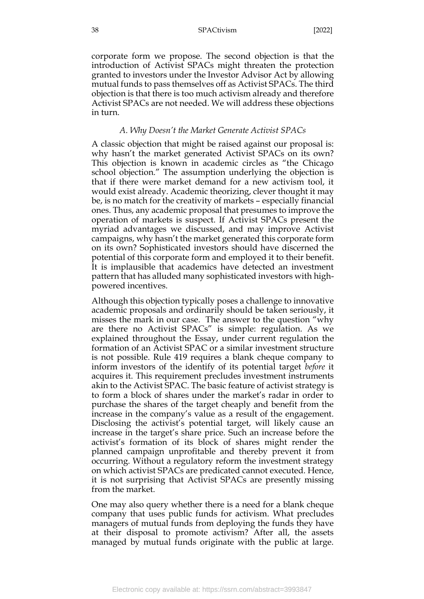corporate form we propose. The second objection is that the introduction of Activist SPACs might threaten the protection granted to investors under the Investor Advisor Act by allowing mutual funds to pass themselves off as Activist SPACs. The third objection is that there is too much activism already and therefore Activist SPACs are not needed. We will address these objections in turn.

#### *A. Why Doesn't the Market Generate Activist SPACs*

<span id="page-38-0"></span>A classic objection that might be raised against our proposal is: why hasn't the market generated Activist SPACs on its own? This objection is known in academic circles as "the Chicago school objection." The assumption underlying the objection is that if there were market demand for a new activism tool, it would exist already. Academic theorizing, clever thought it may be, is no match for the creativity of markets – especially financial ones. Thus, any academic proposal that presumes to improve the operation of markets is suspect. If Activist SPACs present the myriad advantages we discussed, and may improve Activist campaigns, why hasn't the market generated this corporate form on its own? Sophisticated investors should have discerned the potential of this corporate form and employed it to their benefit. It is implausible that academics have detected an investment pattern that has alluded many sophisticated investors with highpowered incentives.

Although this objection typically poses a challenge to innovative academic proposals and ordinarily should be taken seriously, it misses the mark in our case. The answer to the question "why are there no Activist SPACs" is simple: regulation. As we explained throughout the Essay, under current regulation the formation of an Activist SPAC or a similar investment structure is not possible. Rule 419 requires a blank cheque company to inform investors of the identify of its potential target *before* it acquires it. This requirement precludes investment instruments akin to the Activist SPAC. The basic feature of activist strategy is to form a block of shares under the market's radar in order to purchase the shares of the target cheaply and benefit from the increase in the company's value as a result of the engagement. Disclosing the activist's potential target, will likely cause an increase in the target's share price. Such an increase before the activist's formation of its block of shares might render the planned campaign unprofitable and thereby prevent it from occurring. Without a regulatory reform the investment strategy on which activist SPACs are predicated cannot executed. Hence, it is not surprising that Activist SPACs are presently missing from the market.

One may also query whether there is a need for a blank cheque company that uses public funds for activism. What precludes managers of mutual funds from deploying the funds they have at their disposal to promote activism? After all, the assets managed by mutual funds originate with the public at large.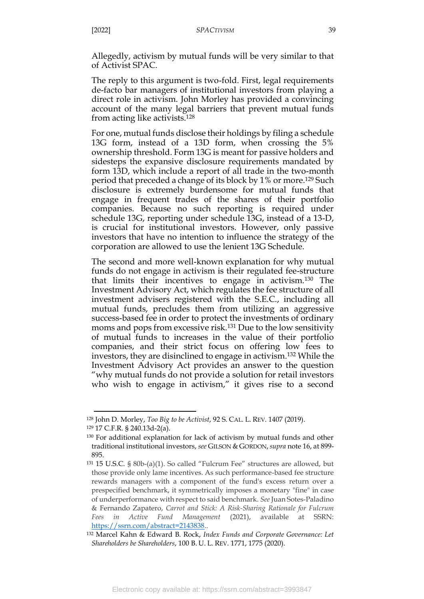Allegedly, activism by mutual funds will be very similar to that of Activist SPAC.

The reply to this argument is two-fold. First, legal requirements de-facto bar managers of institutional investors from playing a direct role in activism. John Morley has provided a convincing account of the many legal barriers that prevent mutual funds from acting like activists.<sup>128</sup>

<span id="page-39-0"></span>For one, mutual funds disclose their holdings by filing a schedule 13G form, instead of a 13D form, when crossing the 5% ownership threshold. Form 13G is meant for passive holders and sidesteps the expansive disclosure requirements mandated by form 13D, which include a report of all trade in the two-month period that preceded a change of its block by 1% or more.<sup>129</sup> Such disclosure is extremely burdensome for mutual funds that engage in frequent trades of the shares of their portfolio companies. Because no such reporting is required under schedule 13G, reporting under schedule 13G, instead of a 13-D, is crucial for institutional investors. However, only passive investors that have no intention to influence the strategy of the corporation are allowed to use the lenient 13G Schedule.

The second and more well-known explanation for why mutual funds do not engage in activism is their regulated fee-structure that limits their incentives to engage in activism.<sup>130</sup> The Investment Advisory Act, which regulates the fee structure of all investment advisers registered with the S.E.C., including all mutual funds, precludes them from utilizing an aggressive success-based fee in order to protect the investments of ordinary moms and pops from excessive risk.<sup>131</sup> Due to the low sensitivity of mutual funds to increases in the value of their portfolio companies, and their strict focus on offering low fees to investors, they are disinclined to engage in activism.<sup>132</sup> While the Investment Advisory Act provides an answer to the question "why mutual funds do not provide a solution for retail investors who wish to engage in activism," it gives rise to a second

<sup>128</sup> John D. Morley, *Too Big to be Activist*, 92 S. CAL. L. REV. 1407 (2019).

<sup>129</sup> 17 C.F.R. § 240.13d-2(a).

<sup>130</sup> For additional explanation for lack of activism by mutual funds and other traditional institutional investors, *see* GILSON & GORDON,*supra* not[e 16,](#page-8-2) at 899- 895.

<sup>131</sup> 15 U.S.C. § 80b-(a)(1). So called "Fulcrum Fee" structures are allowed, but those provide only lame incentives. As such performance-based fee structure rewards managers with a component of the fund's excess return over a prespecified benchmark, it symmetrically imposes a monetary "fine" in case of underperformance with respect to said benchmark. *See* Juan Sotes-Paladino & Fernando Zapatero, *Carrot and Stick: A Risk-Sharing Rationale for Fulcrum Fees in Active Fund Management* (2021), available at SSRN: [https://ssrn.com/abstract=2143838.](https://ssrn.com/abstract=2143838).

<sup>132</sup> Marcel Kahn & Edward B. Rock, *Index Funds and Corporate Governance: Let Shareholders be Shareholders*, 100 B. U. L. REV. 1771, 1775 (2020).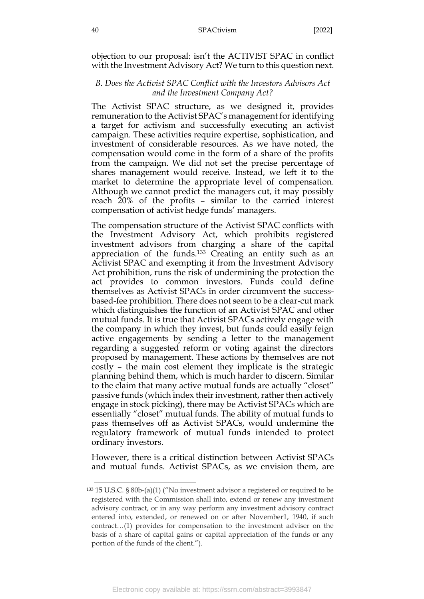objection to our proposal: isn't the ACTIVIST SPAC in conflict with the Investment Advisory Act? We turn to this question next.

## <span id="page-40-0"></span>*B. Does the Activist SPAC Conflict with the Investors Advisors Act and the Investment Company Act?*

The Activist SPAC structure, as we designed it, provides remuneration to the Activist SPAC's management for identifying a target for activism and successfully executing an activist campaign. These activities require expertise, sophistication, and investment of considerable resources. As we have noted, the compensation would come in the form of a share of the profits from the campaign. We did not set the precise percentage of shares management would receive. Instead, we left it to the market to determine the appropriate level of compensation. Although we cannot predict the managers cut, it may possibly reach 20% of the profits – similar to the carried interest compensation of activist hedge funds' managers.

<span id="page-40-1"></span>The compensation structure of the Activist SPAC conflicts with the Investment Advisory Act, which prohibits registered investment advisors from charging a share of the capital appreciation of the funds.<sup>133</sup> Creating an entity such as an Activist SPAC and exempting it from the Investment Advisory Act prohibition, runs the risk of undermining the protection the act provides to common investors. Funds could define themselves as Activist SPACs in order circumvent the successbased-fee prohibition. There does not seem to be a clear-cut mark which distinguishes the function of an Activist SPAC and other mutual funds. It is true that Activist SPACs actively engage with the company in which they invest, but funds could easily feign active engagements by sending a letter to the management regarding a suggested reform or voting against the directors proposed by management. These actions by themselves are not costly – the main cost element they implicate is the strategic planning behind them, which is much harder to discern. Similar to the claim that many active mutual funds are actually "closet" passive funds (which index their investment, rather then actively engage in stock picking), there may be Activist SPACs which are essentially "closet" mutual funds. The ability of mutual funds to pass themselves off as Activist SPACs, would undermine the regulatory framework of mutual funds intended to protect ordinary investors.

However, there is a critical distinction between Activist SPACs and mutual funds. Activist SPACs, as we envision them, are

<sup>133</sup> 15 U.S.C. § 80b-(a)(1) ("No investment advisor a registered or required to be registered with the Commission shall into, extend or renew any investment advisory contract, or in any way perform any investment advisory contract entered into, extended, or renewed on or after November1, 1940, if such contract…(1) provides for compensation to the investment adviser on the basis of a share of capital gains or capital appreciation of the funds or any portion of the funds of the client.").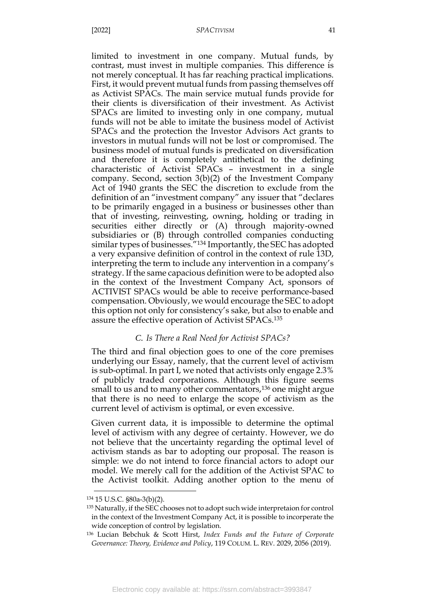limited to investment in one company. Mutual funds, by contrast, must invest in multiple companies. This difference is not merely conceptual. It has far reaching practical implications. First, it would prevent mutual funds from passing themselves off as Activist SPACs. The main service mutual funds provide for their clients is diversification of their investment. As Activist SPACs are limited to investing only in one company, mutual funds will not be able to imitate the business model of Activist SPACs and the protection the Investor Advisors Act grants to investors in mutual funds will not be lost or compromised. The business model of mutual funds is predicated on diversification and therefore it is completely antithetical to the defining characteristic of Activist SPACs – investment in a single company. Second, section 3(b)(2) of the Investment Company Act of 1940 grants the SEC the discretion to exclude from the definition of an "investment company" any issuer that "declares to be primarily engaged in a business or businesses other than that of investing, reinvesting, owning, holding or trading in securities either directly or (A) through majority-owned subsidiaries or (B) through controlled companies conducting similar types of businesses."<sup>134</sup> Importantly, the SEC has adopted a very expansive definition of control in the context of rule 13D, interpreting the term to include any intervention in a company's strategy. If the same capacious definition were to be adopted also in the context of the Investment Company Act, sponsors of ACTIVIST SPACs would be able to receive performance-based compensation. Obviously, we would encourage the SEC to adopt this option not only for consistency's sake, but also to enable and assure the effective operation of Activist SPACs.<sup>135</sup>

#### <span id="page-41-1"></span>*C. Is There a Real Need for Activist SPACs?*

<span id="page-41-0"></span>The third and final objection goes to one of the core premises underlying our Essay, namely, that the current level of activism is sub-optimal. In part I, we noted that activists only engage 2.3% of publicly traded corporations. Although this figure seems small to us and to many other commentators,<sup>136</sup> one might argue that there is no need to enlarge the scope of activism as the current level of activism is optimal, or even excessive.

Given current data, it is impossible to determine the optimal level of activism with any degree of certainty. However, we do not believe that the uncertainty regarding the optimal level of activism stands as bar to adopting our proposal. The reason is simple: we do not intend to force financial actors to adopt our model. We merely call for the addition of the Activist SPAC to the Activist toolkit. Adding another option to the menu of

<sup>134</sup> 15 U.S.C. §80a-3(b)(2).

<sup>135</sup> Naturally, if the SEC chooses not to adopt such wide interpretaion for control in the context of the Investment Company Act, it is possible to incorperate the wide conception of control by legislation.

<sup>136</sup> Lucian Bebchuk & Scott Hirst, *Index Funds and the Future of Corporate Governance: Theory, Evidence and Policy*, 119 COLUM. L. REV. 2029, 2056 (2019).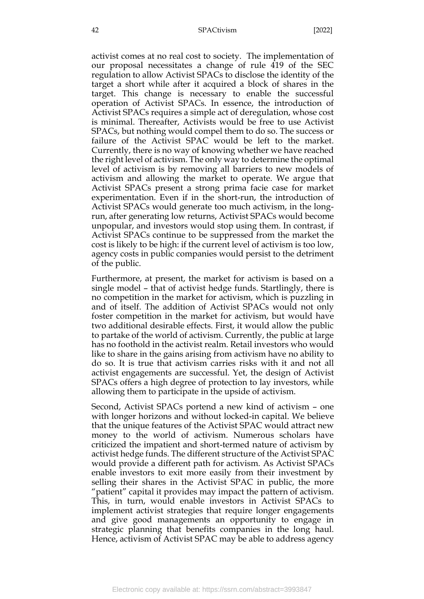activist comes at no real cost to society. The implementation of our proposal necessitates a change of rule 419 of the SEC regulation to allow Activist SPACs to disclose the identity of the target a short while after it acquired a block of shares in the target. This change is necessary to enable the successful operation of Activist SPACs. In essence, the introduction of Activist SPACs requires a simple act of deregulation, whose cost is minimal. Thereafter, Activists would be free to use Activist SPACs, but nothing would compel them to do so. The success or failure of the Activist SPAC would be left to the market. Currently, there is no way of knowing whether we have reached the right level of activism. The only way to determine the optimal level of activism is by removing all barriers to new models of activism and allowing the market to operate. We argue that Activist SPACs present a strong prima facie case for market experimentation. Even if in the short-run, the introduction of Activist SPACs would generate too much activism, in the longrun, after generating low returns, Activist SPACs would become unpopular, and investors would stop using them. In contrast, if Activist SPACs continue to be suppressed from the market the cost is likely to be high: if the current level of activism is too low, agency costs in public companies would persist to the detriment of the public.

Furthermore, at present, the market for activism is based on a single model – that of activist hedge funds. Startlingly, there is no competition in the market for activism, which is puzzling in and of itself. The addition of Activist SPACs would not only foster competition in the market for activism, but would have two additional desirable effects. First, it would allow the public to partake of the world of activism. Currently, the public at large has no foothold in the activist realm. Retail investors who would like to share in the gains arising from activism have no ability to do so. It is true that activism carries risks with it and not all activist engagements are successful. Yet, the design of Activist SPACs offers a high degree of protection to lay investors, while allowing them to participate in the upside of activism.

Second, Activist SPACs portend a new kind of activism – one with longer horizons and without locked-in capital. We believe that the unique features of the Activist SPAC would attract new money to the world of activism. Numerous scholars have criticized the impatient and short-termed nature of activism by activist hedge funds. The different structure of the Activist SPAC would provide a different path for activism. As Activist SPACs enable investors to exit more easily from their investment by selling their shares in the Activist SPAC in public, the more "patient" capital it provides may impact the pattern of activism. This, in turn, would enable investors in Activist SPACs to implement activist strategies that require longer engagements and give good managements an opportunity to engage in strategic planning that benefits companies in the long haul. Hence, activism of Activist SPAC may be able to address agency